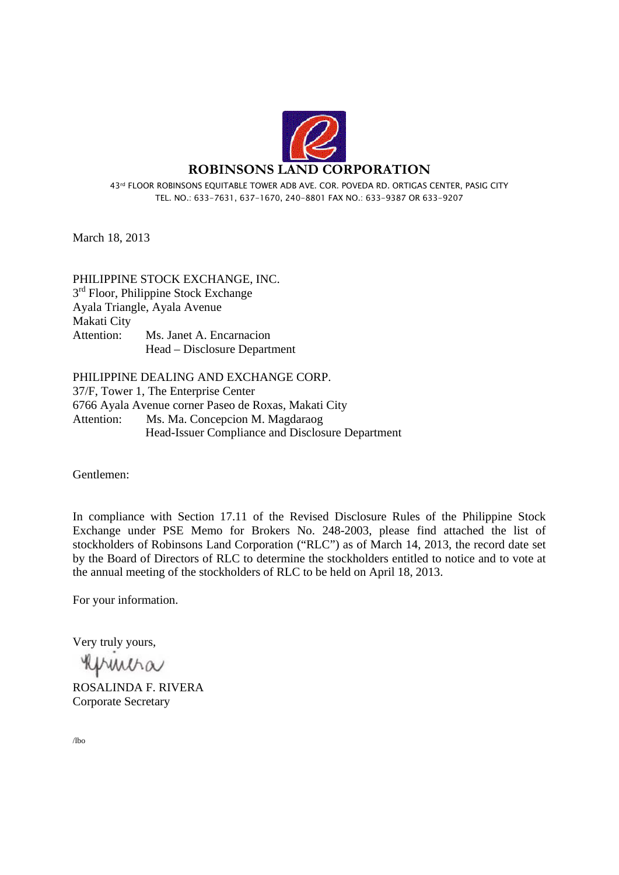

43rd FLOOR ROBINSONS EQUITABLE TOWER ADB AVE. COR. POVEDA RD. ORTIGAS CENTER, PASIG CITY TEL. NO.: 633-7631, 637-1670, 240-8801 FAX NO.: 633-9387 OR 633-9207

March 18, 2013

PHILIPPINE STOCK EXCHANGE, INC.  $3<sup>rd</sup>$  Floor, Philippine Stock Exchange Ayala Triangle, Ayala Avenue Makati City Attention: Ms. Janet A. Encarnacion Head – Disclosure Department

PHILIPPINE DEALING AND EXCHANGE CORP. 37/F, Tower 1, The Enterprise Center 6766 Ayala Avenue corner Paseo de Roxas, Makati City Attention: Ms. Ma. Concepcion M. Magdaraog Head-Issuer Compliance and Disclosure Department

Gentlemen:

In compliance with Section 17.11 of the Revised Disclosure Rules of the Philippine Stock Exchange under PSE Memo for Brokers No. 248-2003, please find attached the list of stockholders of Robinsons Land Corporation ("RLC") as of March 14, 2013, the record date set by the Board of Directors of RLC to determine the stockholders entitled to notice and to vote at the annual meeting of the stockholders of RLC to be held on April 18, 2013.

For your information.

Very truly yours,

Khmiha

ROSALINDA F. RIVERA Corporate Secretary

/lbo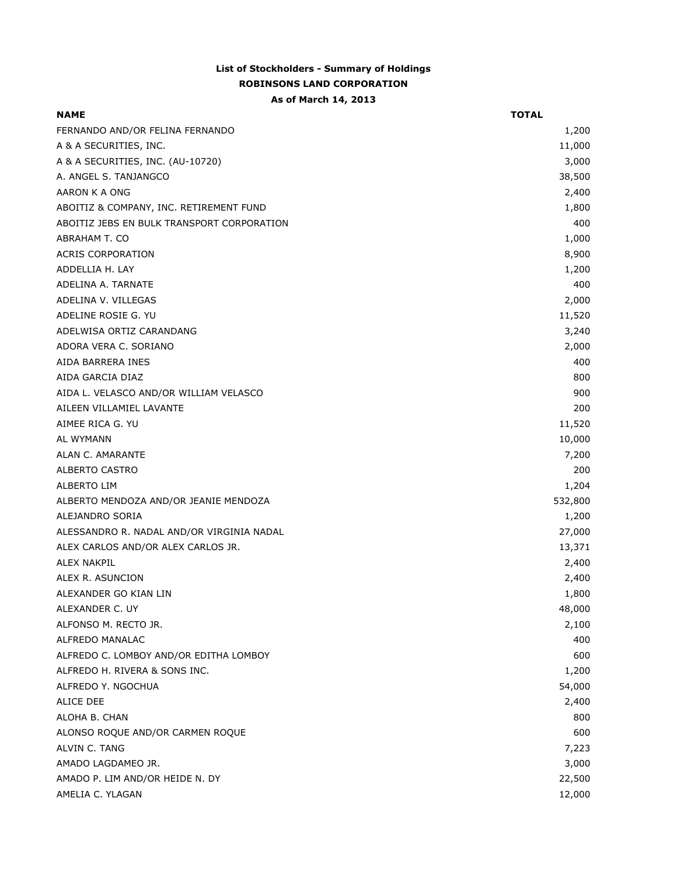## **List of Stockholders - Summary of Holdings ROBINSONS LAND CORPORATION**

## **As of March 14, 2013**

| <b>NAME</b>                                | <b>TOTAL</b> |
|--------------------------------------------|--------------|
| FERNANDO AND/OR FELINA FERNANDO            | 1,200        |
| A & A SECURITIES, INC.                     | 11,000       |
| A & A SECURITIES, INC. (AU-10720)          | 3,000        |
| A. ANGEL S. TANJANGCO                      | 38,500       |
| AARON K A ONG                              | 2,400        |
| ABOITIZ & COMPANY, INC. RETIREMENT FUND    | 1,800        |
| ABOITIZ JEBS EN BULK TRANSPORT CORPORATION | 400          |
| ABRAHAM T. CO                              | 1,000        |
| <b>ACRIS CORPORATION</b>                   | 8,900        |
| ADDELLIA H. LAY                            | 1,200        |
| ADELINA A. TARNATE                         | 400          |
| ADELINA V. VILLEGAS                        | 2,000        |
| ADELINE ROSIE G. YU                        | 11,520       |
| ADELWISA ORTIZ CARANDANG                   | 3,240        |
| ADORA VERA C. SORIANO                      | 2,000        |
| AIDA BARRERA INES                          | 400          |
| AIDA GARCIA DIAZ                           | 800          |
| AIDA L. VELASCO AND/OR WILLIAM VELASCO     | 900          |
| AILEEN VILLAMIEL LAVANTE                   | 200          |
| AIMEE RICA G. YU                           | 11,520       |
| AL WYMANN                                  | 10,000       |
| ALAN C. AMARANTE                           | 7,200        |
| ALBERTO CASTRO                             | 200          |
| <b>ALBERTO LIM</b>                         | 1,204        |
| ALBERTO MENDOZA AND/OR JEANIE MENDOZA      | 532,800      |
| ALEJANDRO SORIA                            | 1,200        |
| ALESSANDRO R. NADAL AND/OR VIRGINIA NADAL  | 27,000       |
| ALEX CARLOS AND/OR ALEX CARLOS JR.         | 13,371       |
| <b>ALEX NAKPIL</b>                         | 2,400        |
| ALEX R. ASUNCION                           | 2,400        |
| ALEXANDER GO KIAN LIN                      | 1,800        |
| ALEXANDER C. UY                            | 48,000       |
| ALFONSO M. RECTO JR.                       | 2,100        |
| ALFREDO MANALAC                            | 400          |
| ALFREDO C. LOMBOY AND/OR EDITHA LOMBOY     | 600          |
| ALFREDO H. RIVERA & SONS INC.              | 1,200        |
| ALFREDO Y. NGOCHUA                         | 54,000       |
| <b>ALICE DEE</b>                           | 2,400        |
| ALOHA B. CHAN                              | 800          |
| ALONSO ROQUE AND/OR CARMEN ROQUE           | 600          |
| ALVIN C. TANG                              | 7,223        |
| AMADO LAGDAMEO JR.                         | 3,000        |
| AMADO P. LIM AND/OR HEIDE N. DY            | 22,500       |
| AMELIA C. YLAGAN                           | 12,000       |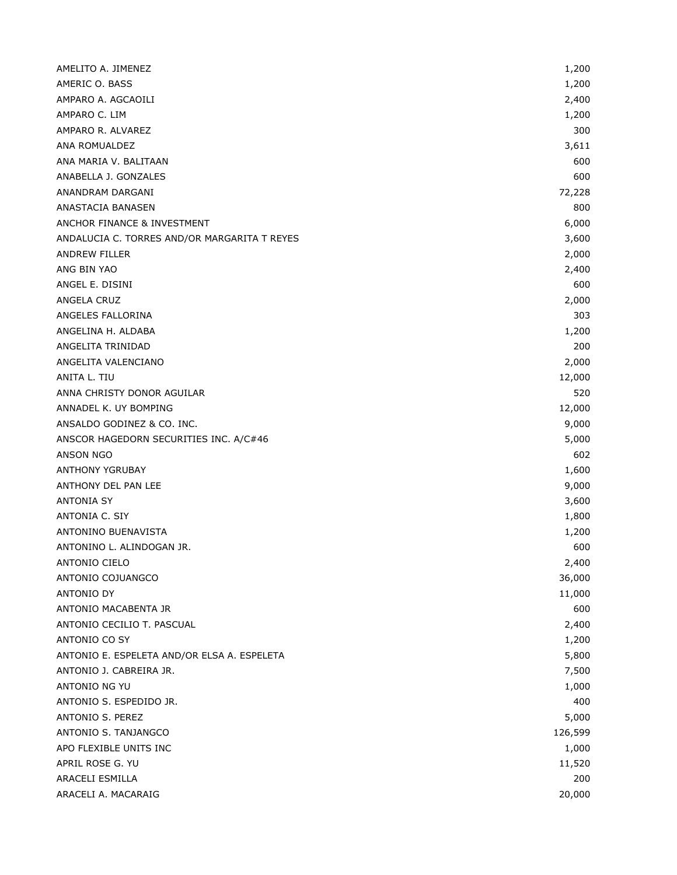| AMELITO A. JIMENEZ                           | 1,200   |
|----------------------------------------------|---------|
| AMERIC O. BASS                               | 1,200   |
| AMPARO A. AGCAOILI                           | 2,400   |
| AMPARO C. LIM                                | 1,200   |
| AMPARO R. ALVAREZ                            | 300     |
| ANA ROMUALDEZ                                | 3,611   |
| ANA MARIA V. BALITAAN                        | 600     |
| ANABELLA J. GONZALES                         | 600     |
| ANANDRAM DARGANI                             | 72,228  |
| ANASTACIA BANASEN                            | 800     |
| ANCHOR FINANCE & INVESTMENT                  | 6,000   |
| ANDALUCIA C. TORRES AND/OR MARGARITA T REYES | 3,600   |
| <b>ANDREW FILLER</b>                         | 2,000   |
| ANG BIN YAO                                  | 2,400   |
| ANGEL E. DISINI                              | 600     |
| ANGELA CRUZ                                  | 2,000   |
| ANGELES FALLORINA                            | 303     |
| ANGELINA H. ALDABA                           | 1,200   |
| ANGELITA TRINIDAD                            | 200     |
| ANGELITA VALENCIANO                          | 2,000   |
| ANITA L. TIU                                 | 12,000  |
| ANNA CHRISTY DONOR AGUILAR                   | 520     |
| ANNADEL K. UY BOMPING                        | 12,000  |
| ANSALDO GODINEZ & CO. INC.                   | 9,000   |
| ANSCOR HAGEDORN SECURITIES INC. A/C#46       | 5,000   |
| ANSON NGO                                    | 602     |
| <b>ANTHONY YGRUBAY</b>                       | 1,600   |
| ANTHONY DEL PAN LEE                          | 9,000   |
| <b>ANTONIA SY</b>                            | 3,600   |
| ANTONIA C. SIY                               | 1,800   |
| ANTONINO BUENAVISTA                          | 1,200   |
| ANTONINO L. ALINDOGAN JR.                    | 600     |
| <b>ANTONIO CIELO</b>                         | 2,400   |
| ANTONIO COJUANGCO                            | 36,000  |
| <b>ANTONIO DY</b>                            | 11,000  |
| ANTONIO MACABENTA JR                         | 600     |
| ANTONIO CECILIO T. PASCUAL                   | 2,400   |
| ANTONIO CO SY                                | 1,200   |
| ANTONIO E. ESPELETA AND/OR ELSA A. ESPELETA  | 5,800   |
| ANTONIO J. CABREIRA JR.                      | 7,500   |
| ANTONIO NG YU                                | 1,000   |
| ANTONIO S. ESPEDIDO JR.                      | 400     |
| ANTONIO S. PEREZ                             | 5,000   |
| ANTONIO S. TANJANGCO                         | 126,599 |
| APO FLEXIBLE UNITS INC                       | 1,000   |
| APRIL ROSE G. YU                             | 11,520  |
| ARACELI ESMILLA                              | 200     |
| ARACELI A. MACARAIG                          | 20,000  |
|                                              |         |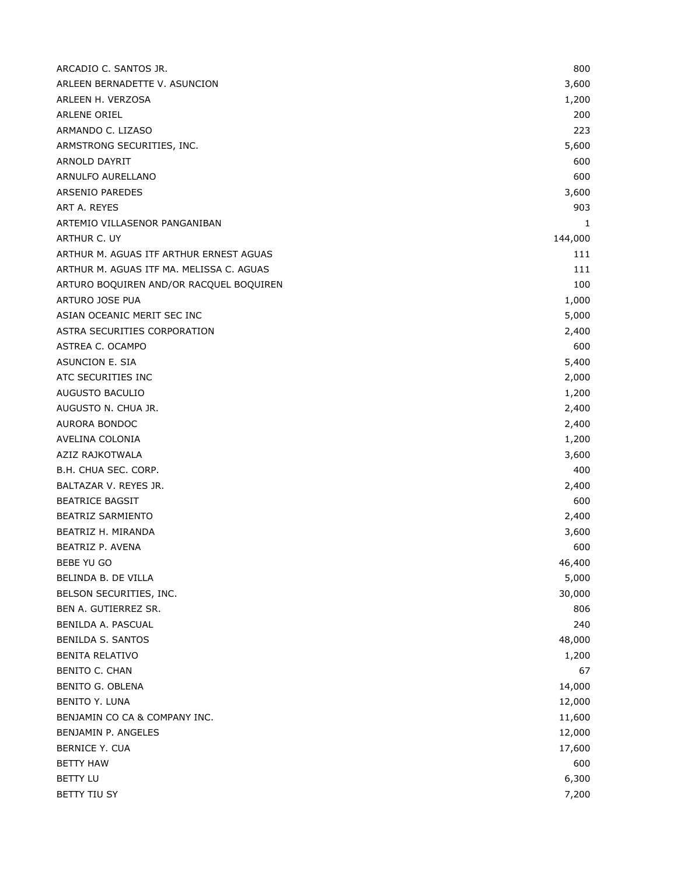| ARCADIO C. SANTOS JR.                    | 800     |
|------------------------------------------|---------|
| ARLEEN BERNADETTE V. ASUNCION            | 3,600   |
| ARLEEN H. VERZOSA                        | 1,200   |
| ARLENE ORIEL                             | 200     |
| ARMANDO C. LIZASO                        | 223     |
| ARMSTRONG SECURITIES, INC.               | 5,600   |
| ARNOLD DAYRIT                            | 600     |
| ARNULFO AURELLANO                        | 600     |
| <b>ARSENIO PAREDES</b>                   | 3,600   |
| ART A. REYES                             | 903     |
| ARTEMIO VILLASENOR PANGANIBAN            | 1       |
| ARTHUR C. UY                             | 144,000 |
| ARTHUR M. AGUAS ITF ARTHUR ERNEST AGUAS  | 111     |
| ARTHUR M. AGUAS ITF MA. MELISSA C. AGUAS | 111     |
| ARTURO BOQUIREN AND/OR RACQUEL BOQUIREN  | 100     |
| ARTURO JOSE PUA                          | 1,000   |
| ASIAN OCEANIC MERIT SEC INC              | 5,000   |
| ASTRA SECURITIES CORPORATION             | 2,400   |
| ASTREA C. OCAMPO                         | 600     |
| ASUNCION E. SIA                          | 5,400   |
| ATC SECURITIES INC                       | 2,000   |
| AUGUSTO BACULIO                          | 1,200   |
| AUGUSTO N. CHUA JR.                      | 2,400   |
| AURORA BONDOC                            | 2,400   |
| AVELINA COLONIA                          | 1,200   |
| AZIZ RAJKOTWALA                          | 3,600   |
| B.H. CHUA SEC. CORP.                     | 400     |
| BALTAZAR V. REYES JR.                    | 2,400   |
| <b>BEATRICE BAGSIT</b>                   | 600     |
| <b>BEATRIZ SARMIENTO</b>                 | 2,400   |
| BEATRIZ H. MIRANDA                       | 3,600   |
| BEATRIZ P. AVENA                         | 600     |
| BEBE YU GO                               | 46,400  |
| BELINDA B. DE VILLA                      | 5,000   |
| BELSON SECURITIES, INC.                  | 30,000  |
| BEN A. GUTIERREZ SR.                     | 806     |
| BENILDA A. PASCUAL                       | 240     |
| BENILDA S. SANTOS                        | 48,000  |
| BENITA RELATIVO                          | 1,200   |
| <b>BENITO C. CHAN</b>                    | 67      |
| BENITO G. OBLENA                         | 14,000  |
| <b>BENITO Y. LUNA</b>                    | 12,000  |
| BENJAMIN CO CA & COMPANY INC.            | 11,600  |
| BENJAMIN P. ANGELES                      | 12,000  |
| BERNICE Y. CUA                           | 17,600  |
| <b>BETTY HAW</b>                         | 600     |
| <b>BETTY LU</b>                          | 6,300   |
| BETTY TIU SY                             | 7,200   |
|                                          |         |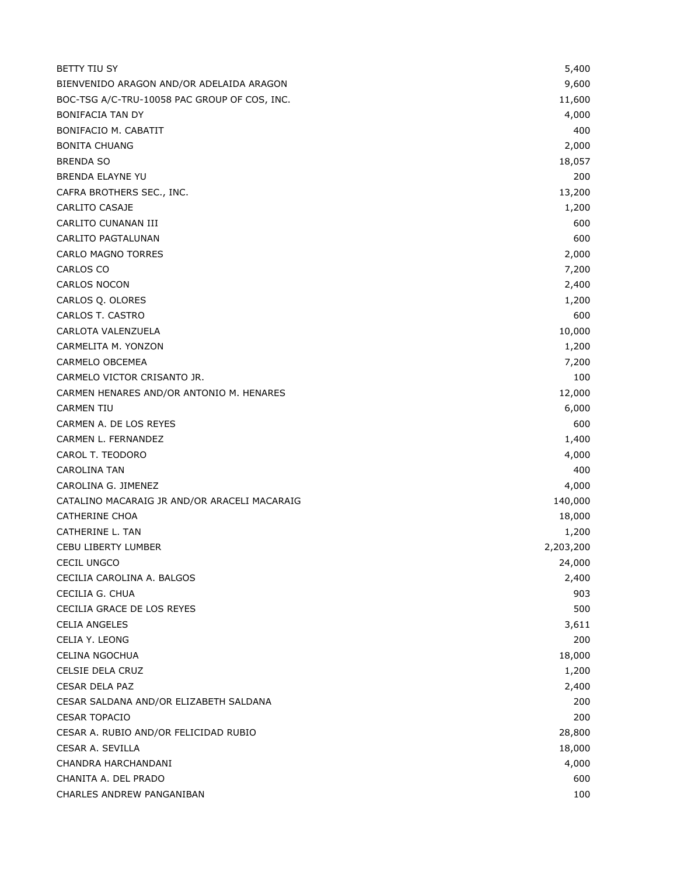| <b>BETTY TIU SY</b>                          | 5,400     |
|----------------------------------------------|-----------|
| BIENVENIDO ARAGON AND/OR ADELAIDA ARAGON     | 9,600     |
| BOC-TSG A/C-TRU-10058 PAC GROUP OF COS, INC. | 11,600    |
| <b>BONIFACIA TAN DY</b>                      | 4,000     |
| BONIFACIO M. CABATIT                         | 400       |
| <b>BONITA CHUANG</b>                         | 2,000     |
| <b>BRENDA SO</b>                             | 18,057    |
| <b>BRENDA ELAYNE YU</b>                      | 200       |
| CAFRA BROTHERS SEC., INC.                    | 13,200    |
| CARLITO CASAJE                               | 1,200     |
| CARLITO CUNANAN III                          | 600       |
| <b>CARLITO PAGTALUNAN</b>                    | 600       |
| <b>CARLO MAGNO TORRES</b>                    | 2,000     |
| <b>CARLOS CO</b>                             | 7,200     |
| <b>CARLOS NOCON</b>                          | 2,400     |
| CARLOS Q. OLORES                             | 1,200     |
| CARLOS T. CASTRO                             | 600       |
| CARLOTA VALENZUELA                           | 10,000    |
| CARMELITA M. YONZON                          | 1,200     |
| CARMELO OBCEMEA                              | 7,200     |
| CARMELO VICTOR CRISANTO JR.                  | 100       |
| CARMEN HENARES AND/OR ANTONIO M. HENARES     | 12,000    |
| <b>CARMEN TIU</b>                            | 6,000     |
| CARMEN A. DE LOS REYES                       | 600       |
| CARMEN L. FERNANDEZ                          | 1,400     |
| CAROL T. TEODORO                             | 4,000     |
| CAROLINA TAN                                 | 400       |
| CAROLINA G. JIMENEZ                          | 4,000     |
| CATALINO MACARAIG JR AND/OR ARACELI MACARAIG | 140,000   |
| <b>CATHERINE CHOA</b>                        | 18,000    |
| CATHERINE L. TAN                             | 1,200     |
| CEBU LIBERTY LUMBER                          | 2,203,200 |
| <b>CECIL UNGCO</b>                           | 24,000    |
| CECILIA CAROLINA A. BALGOS                   | 2,400     |
| CECILIA G. CHUA                              | 903       |
| CECILIA GRACE DE LOS REYES                   | 500       |
| <b>CELIA ANGELES</b>                         | 3,611     |
| CELIA Y. LEONG                               | 200       |
| <b>CELINA NGOCHUA</b>                        | 18,000    |
| CELSIE DELA CRUZ                             | 1,200     |
| <b>CESAR DELA PAZ</b>                        | 2,400     |
| CESAR SALDANA AND/OR ELIZABETH SALDANA       | 200       |
| <b>CESAR TOPACIO</b>                         | 200       |
| CESAR A. RUBIO AND/OR FELICIDAD RUBIO        | 28,800    |
| CESAR A. SEVILLA                             | 18,000    |
| CHANDRA HARCHANDANI                          | 4,000     |
| CHANITA A. DEL PRADO                         | 600       |
| CHARLES ANDREW PANGANIBAN                    | 100       |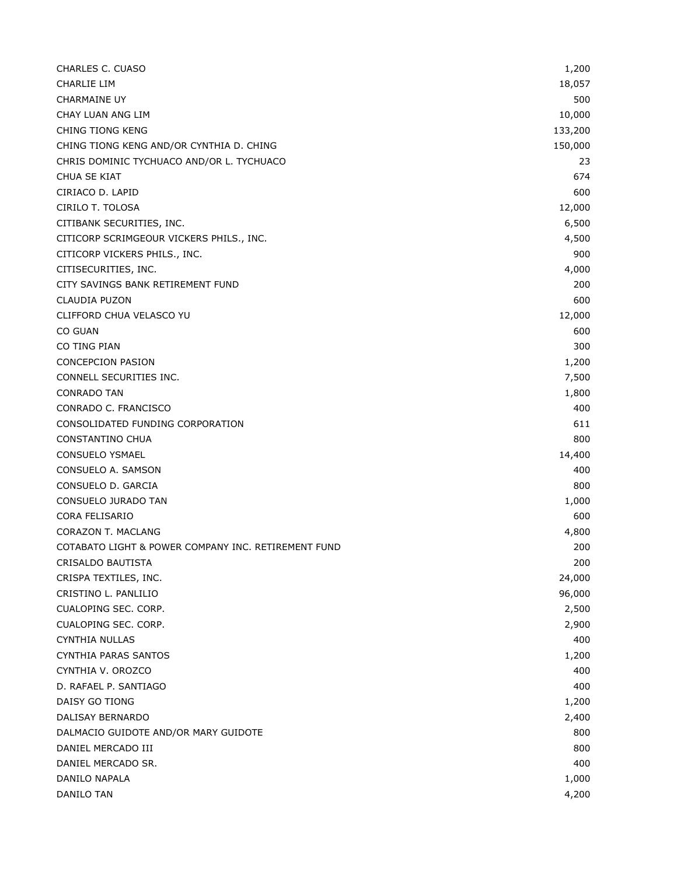| CHARLES C. CUASO                                    | 1,200   |
|-----------------------------------------------------|---------|
| <b>CHARLIE LIM</b>                                  | 18,057  |
| <b>CHARMAINE UY</b>                                 | 500     |
| CHAY LUAN ANG LIM                                   | 10,000  |
| CHING TIONG KENG                                    | 133,200 |
| CHING TIONG KENG AND/OR CYNTHIA D. CHING            | 150,000 |
| CHRIS DOMINIC TYCHUACO AND/OR L. TYCHUACO           | 23      |
| CHUA SE KIAT                                        | 674     |
| CIRIACO D. LAPID                                    | 600     |
| CIRILO T. TOLOSA                                    | 12,000  |
| CITIBANK SECURITIES, INC.                           | 6,500   |
| CITICORP SCRIMGEOUR VICKERS PHILS., INC.            | 4,500   |
| CITICORP VICKERS PHILS., INC.                       | 900     |
| CITISECURITIES, INC.                                | 4,000   |
| CITY SAVINGS BANK RETIREMENT FUND                   | 200     |
| <b>CLAUDIA PUZON</b>                                | 600     |
| CLIFFORD CHUA VELASCO YU                            | 12,000  |
| CO GUAN                                             | 600     |
| CO TING PIAN                                        | 300     |
| <b>CONCEPCION PASION</b>                            | 1,200   |
| CONNELL SECURITIES INC.                             | 7,500   |
| <b>CONRADO TAN</b>                                  | 1,800   |
| CONRADO C. FRANCISCO                                | 400     |
| CONSOLIDATED FUNDING CORPORATION                    | 611     |
| CONSTANTINO CHUA                                    | 800     |
| <b>CONSUELO YSMAEL</b>                              | 14,400  |
| CONSUELO A. SAMSON                                  | 400     |
| CONSUELO D. GARCIA                                  | 800     |
| CONSUELO JURADO TAN                                 | 1,000   |
| <b>CORA FELISARIO</b>                               | 600     |
| CORAZON T. MACLANG                                  | 4,800   |
| COTABATO LIGHT & POWER COMPANY INC. RETIREMENT FUND | 200     |
| CRISALDO BAUTISTA                                   | 200     |
| CRISPA TEXTILES, INC.                               | 24,000  |
| CRISTINO L. PANLILIO                                | 96,000  |
| CUALOPING SEC. CORP.                                | 2,500   |
| CUALOPING SEC. CORP.                                | 2,900   |
| <b>CYNTHIA NULLAS</b>                               | 400     |
| <b>CYNTHIA PARAS SANTOS</b>                         | 1,200   |
| CYNTHIA V. OROZCO                                   | 400     |
| D. RAFAEL P. SANTIAGO                               | 400     |
| DAISY GO TIONG                                      | 1,200   |
| DALISAY BERNARDO                                    | 2,400   |
| DALMACIO GUIDOTE AND/OR MARY GUIDOTE                | 800     |
| DANIEL MERCADO III                                  | 800     |
| DANIEL MERCADO SR.                                  | 400     |
| DANILO NAPALA                                       | 1,000   |
| DANILO TAN                                          | 4,200   |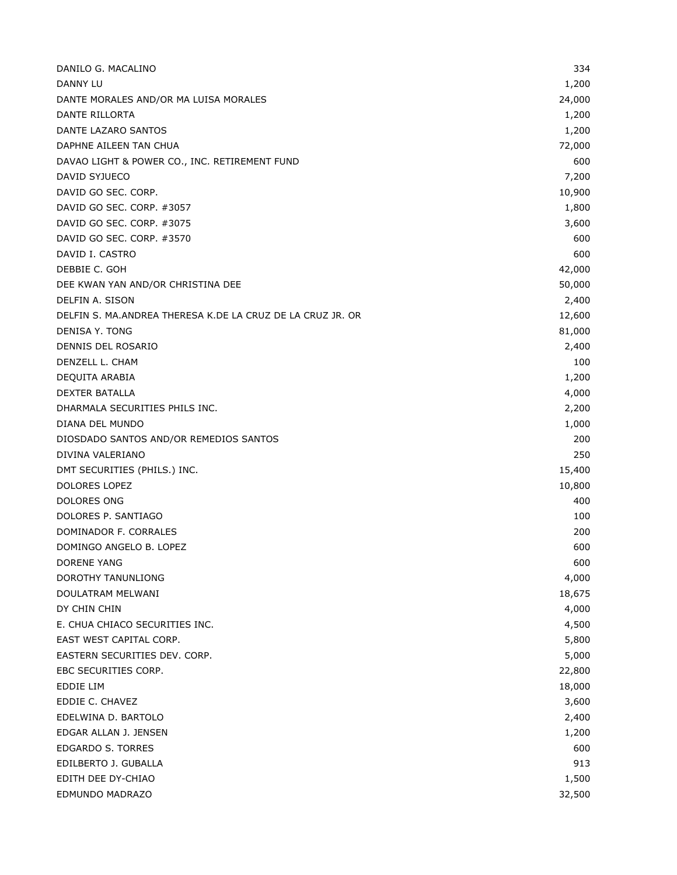| DANILO G. MACALINO                                         | 334    |
|------------------------------------------------------------|--------|
| DANNY LU                                                   | 1,200  |
| DANTE MORALES AND/OR MA LUISA MORALES                      | 24,000 |
| DANTE RILLORTA                                             | 1,200  |
| DANTE LAZARO SANTOS                                        | 1,200  |
| DAPHNE AILEEN TAN CHUA                                     | 72,000 |
| DAVAO LIGHT & POWER CO., INC. RETIREMENT FUND              | 600    |
| DAVID SYJUECO                                              | 7,200  |
| DAVID GO SEC. CORP.                                        | 10,900 |
| DAVID GO SEC. CORP. #3057                                  | 1,800  |
| DAVID GO SEC. CORP. #3075                                  | 3,600  |
| DAVID GO SEC. CORP. #3570                                  | 600    |
| DAVID I. CASTRO                                            | 600    |
| DEBBIE C. GOH                                              | 42,000 |
| DEE KWAN YAN AND/OR CHRISTINA DEE                          | 50,000 |
| DELFIN A. SISON                                            | 2,400  |
| DELFIN S. MA.ANDREA THERESA K.DE LA CRUZ DE LA CRUZ JR. OR | 12,600 |
| <b>DENISA Y. TONG</b>                                      | 81,000 |
| DENNIS DEL ROSARIO                                         | 2,400  |
| DENZELL L. CHAM                                            | 100    |
| DEQUITA ARABIA                                             | 1,200  |
| <b>DEXTER BATALLA</b>                                      | 4,000  |
| DHARMALA SECURITIES PHILS INC.                             | 2,200  |
| DIANA DEL MUNDO                                            | 1,000  |
| DIOSDADO SANTOS AND/OR REMEDIOS SANTOS                     | 200    |
| DIVINA VALERIANO                                           | 250    |
| DMT SECURITIES (PHILS.) INC.                               | 15,400 |
| <b>DOLORES LOPEZ</b>                                       | 10,800 |
| DOLORES ONG                                                | 400    |
| DOLORES P. SANTIAGO                                        | 100    |
| DOMINADOR F. CORRALES                                      | 200    |
| DOMINGO ANGELO B. LOPEZ                                    | 600    |
| <b>DORENE YANG</b>                                         | 600    |
| DOROTHY TANUNLIONG                                         | 4,000  |
| DOULATRAM MELWANI                                          | 18,675 |
| DY CHIN CHIN                                               | 4,000  |
| E. CHUA CHIACO SECURITIES INC.                             | 4,500  |
| EAST WEST CAPITAL CORP.                                    | 5,800  |
| EASTERN SECURITIES DEV. CORP.                              | 5,000  |
| EBC SECURITIES CORP.                                       | 22,800 |
| <b>EDDIE LIM</b>                                           | 18,000 |
| EDDIE C. CHAVEZ                                            | 3,600  |
| EDELWINA D. BARTOLO                                        | 2,400  |
| EDGAR ALLAN J. JENSEN                                      | 1,200  |
| EDGARDO S. TORRES                                          | 600    |
| EDILBERTO J. GUBALLA                                       | 913    |
| EDITH DEE DY-CHIAO                                         | 1,500  |
| EDMUNDO MADRAZO                                            | 32,500 |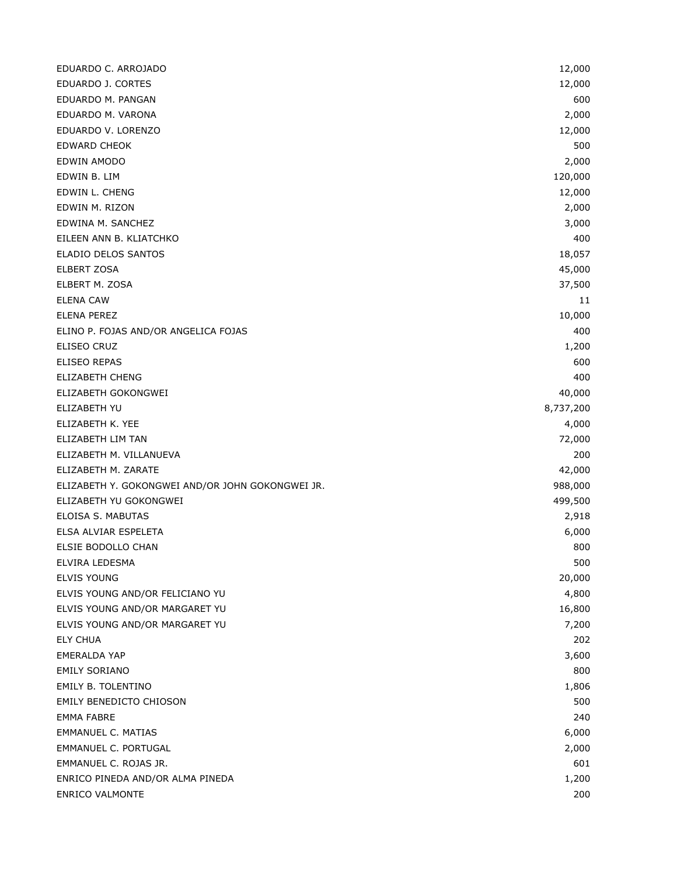| EDUARDO C. ARROJADO                              | 12,000    |
|--------------------------------------------------|-----------|
| EDUARDO J. CORTES                                | 12,000    |
| EDUARDO M. PANGAN                                | 600       |
| EDUARDO M. VARONA                                | 2,000     |
| EDUARDO V. LORENZO                               | 12,000    |
| <b>EDWARD CHEOK</b>                              | 500       |
| EDWIN AMODO                                      | 2,000     |
| EDWIN B. LIM                                     | 120,000   |
| EDWIN L. CHENG                                   | 12,000    |
| EDWIN M. RIZON                                   | 2,000     |
| EDWINA M. SANCHEZ                                | 3,000     |
| EILEEN ANN B. KLIATCHKO                          | 400       |
| ELADIO DELOS SANTOS                              | 18,057    |
| <b>ELBERT ZOSA</b>                               | 45,000    |
| ELBERT M. ZOSA                                   | 37,500    |
| <b>ELENA CAW</b>                                 | 11        |
| <b>ELENA PEREZ</b>                               | 10,000    |
| ELINO P. FOJAS AND/OR ANGELICA FOJAS             | 400       |
| ELISEO CRUZ                                      | 1,200     |
| <b>ELISEO REPAS</b>                              | 600       |
| <b>ELIZABETH CHENG</b>                           | 400       |
| ELIZABETH GOKONGWEI                              | 40,000    |
| ELIZABETH YU                                     | 8,737,200 |
| ELIZABETH K. YEE                                 | 4,000     |
| ELIZABETH LIM TAN                                | 72,000    |
| ELIZABETH M. VILLANUEVA                          | 200       |
| ELIZABETH M. ZARATE                              | 42,000    |
| ELIZABETH Y. GOKONGWEI AND/OR JOHN GOKONGWEI JR. | 988,000   |
| ELIZABETH YU GOKONGWEI                           | 499,500   |
| ELOISA S. MABUTAS                                | 2,918     |
| ELSA ALVIAR ESPELETA                             | 6,000     |
| ELSIE BODOLLO CHAN                               | 800       |
| ELVIRA LEDESMA                                   | 500       |
| <b>ELVIS YOUNG</b>                               | 20,000    |
| ELVIS YOUNG AND/OR FELICIANO YU                  | 4,800     |
| ELVIS YOUNG AND/OR MARGARET YU                   | 16,800    |
| ELVIS YOUNG AND/OR MARGARET YU                   | 7,200     |
| <b>ELY CHUA</b>                                  | 202       |
| <b>EMERALDA YAP</b>                              | 3,600     |
| <b>EMILY SORIANO</b>                             | 800       |
| EMILY B. TOLENTINO                               | 1,806     |
| <b>EMILY BENEDICTO CHIOSON</b>                   | 500       |
| <b>EMMA FABRE</b>                                | 240       |
| EMMANUEL C. MATIAS                               | 6,000     |
| EMMANUEL C. PORTUGAL                             | 2,000     |
| EMMANUEL C. ROJAS JR.                            | 601       |
| ENRICO PINEDA AND/OR ALMA PINEDA                 | 1,200     |
| <b>ENRICO VALMONTE</b>                           | 200       |
|                                                  |           |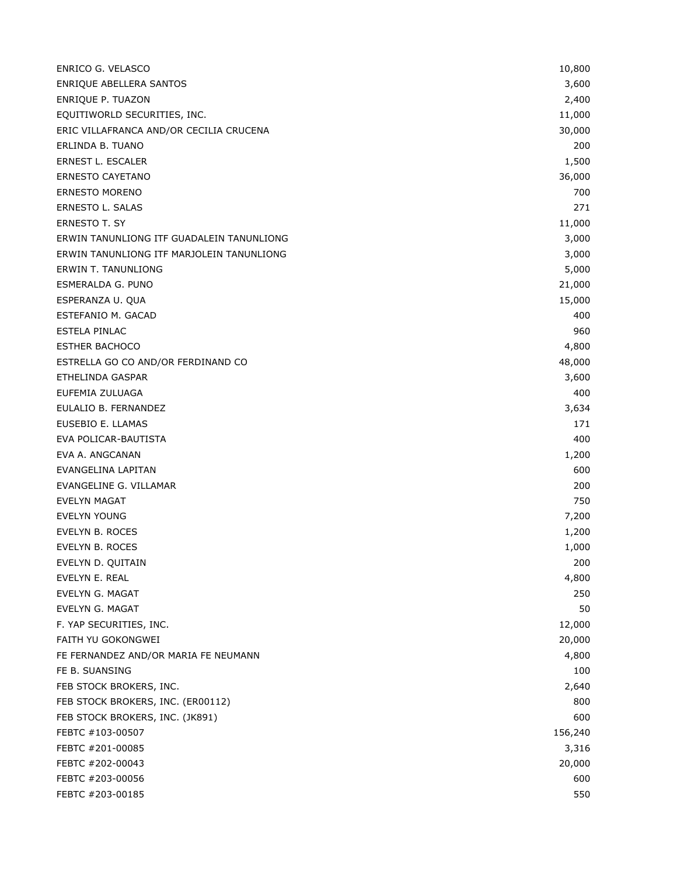| ENRICO G. VELASCO                         | 10,800  |
|-------------------------------------------|---------|
| ENRIQUE ABELLERA SANTOS                   | 3,600   |
| ENRIQUE P. TUAZON                         | 2,400   |
| EQUITIWORLD SECURITIES, INC.              | 11,000  |
| ERIC VILLAFRANCA AND/OR CECILIA CRUCENA   | 30,000  |
| ERLINDA B. TUANO                          | 200     |
| ERNEST L. ESCALER                         | 1,500   |
| <b>ERNESTO CAYETANO</b>                   | 36,000  |
| <b>ERNESTO MORENO</b>                     | 700     |
| ERNESTO L. SALAS                          | 271     |
| <b>ERNESTO T. SY</b>                      | 11,000  |
| ERWIN TANUNLIONG ITF GUADALEIN TANUNLIONG | 3,000   |
| ERWIN TANUNLIONG ITF MARJOLEIN TANUNLIONG | 3,000   |
| <b>ERWIN T. TANUNLIONG</b>                | 5,000   |
| ESMERALDA G. PUNO                         | 21,000  |
| ESPERANZA U. QUA                          | 15,000  |
| ESTEFANIO M. GACAD                        | 400     |
| ESTELA PINLAC                             | 960     |
| <b>ESTHER BACHOCO</b>                     | 4,800   |
| ESTRELLA GO CO AND/OR FERDINAND CO        | 48,000  |
| ETHELINDA GASPAR                          | 3,600   |
| EUFEMIA ZULUAGA                           | 400     |
| EULALIO B. FERNANDEZ                      | 3,634   |
| EUSEBIO E. LLAMAS                         | 171     |
| EVA POLICAR-BAUTISTA                      | 400     |
| EVA A. ANGCANAN                           | 1,200   |
| EVANGELINA LAPITAN                        | 600     |
| EVANGELINE G. VILLAMAR                    | 200     |
| EVELYN MAGAT                              | 750     |
| EVELYN YOUNG                              | 7,200   |
| EVELYN B. ROCES                           | 1,200   |
| EVELYN B. ROCES                           | 1,000   |
| EVELYN D. QUITAIN                         | 200     |
| EVELYN E. REAL                            | 4,800   |
| EVELYN G. MAGAT                           | 250     |
| EVELYN G. MAGAT                           | 50      |
| F. YAP SECURITIES, INC.                   | 12,000  |
| FAITH YU GOKONGWEI                        | 20,000  |
| FE FERNANDEZ AND/OR MARIA FE NEUMANN      | 4,800   |
| FE B. SUANSING                            | 100     |
| FEB STOCK BROKERS, INC.                   | 2,640   |
| FEB STOCK BROKERS, INC. (ER00112)         | 800     |
| FEB STOCK BROKERS, INC. (JK891)           | 600     |
| FEBTC #103-00507                          | 156,240 |
| FEBTC #201-00085                          | 3,316   |
| FEBTC #202-00043                          | 20,000  |
| FEBTC #203-00056                          | 600     |
| FEBTC #203-00185                          | 550     |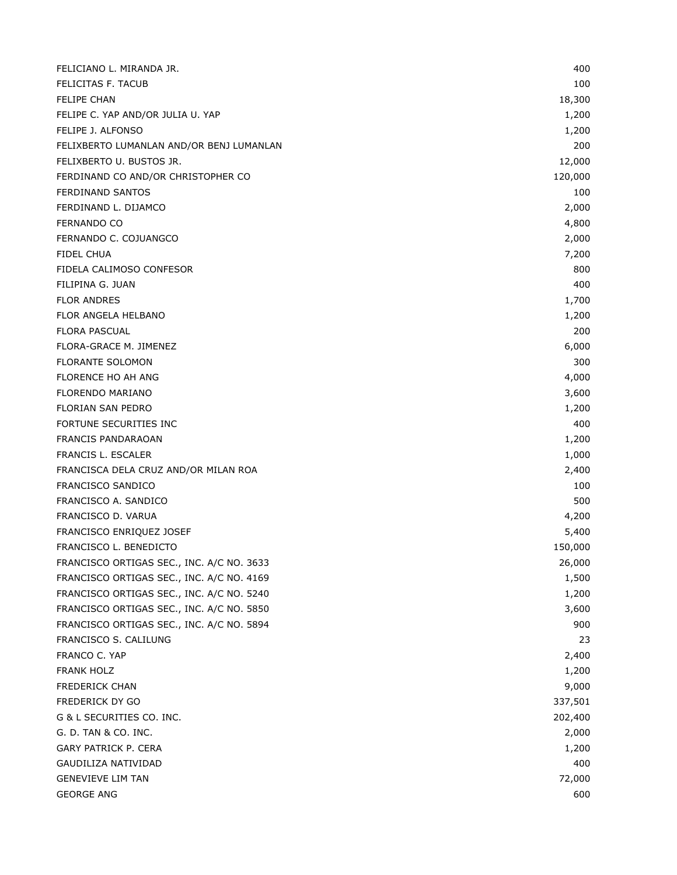| FELICIANO L. MIRANDA JR.                  | 400     |
|-------------------------------------------|---------|
| FELICITAS F. TACUB                        | 100     |
| <b>FELIPE CHAN</b>                        | 18,300  |
| FELIPE C. YAP AND/OR JULIA U. YAP         | 1,200   |
| FELIPE J. ALFONSO                         | 1,200   |
| FELIXBERTO LUMANLAN AND/OR BENJ LUMANLAN  | 200     |
| FELIXBERTO U. BUSTOS JR.                  | 12,000  |
| FERDINAND CO AND/OR CHRISTOPHER CO        | 120,000 |
| FERDINAND SANTOS                          | 100     |
| FERDINAND L. DIJAMCO                      | 2,000   |
| <b>FERNANDO CO</b>                        | 4,800   |
| FERNANDO C. COJUANGCO                     | 2,000   |
| FIDEL CHUA                                | 7,200   |
| FIDELA CALIMOSO CONFESOR                  | 800     |
| FILIPINA G. JUAN                          | 400     |
| <b>FLOR ANDRES</b>                        | 1,700   |
| FLOR ANGELA HELBANO                       | 1,200   |
| <b>FLORA PASCUAL</b>                      | 200     |
| FLORA-GRACE M. JIMENEZ                    | 6,000   |
| <b>FLORANTE SOLOMON</b>                   | 300     |
| FLORENCE HO AH ANG                        | 4,000   |
| FLORENDO MARIANO                          | 3,600   |
| FLORIAN SAN PEDRO                         | 1,200   |
| FORTUNE SECURITIES INC                    | 400     |
| FRANCIS PANDARAOAN                        | 1,200   |
| FRANCIS L. ESCALER                        | 1,000   |
| FRANCISCA DELA CRUZ AND/OR MILAN ROA      | 2,400   |
| <b>FRANCISCO SANDICO</b>                  | 100     |
| FRANCISCO A. SANDICO                      | 500     |
| FRANCISCO D. VARUA                        | 4,200   |
| FRANCISCO ENRIQUEZ JOSEF                  | 5,400   |
| FRANCISCO L. BENEDICTO                    | 150,000 |
| FRANCISCO ORTIGAS SEC., INC. A/C NO. 3633 | 26,000  |
| FRANCISCO ORTIGAS SEC., INC. A/C NO. 4169 | 1,500   |
| FRANCISCO ORTIGAS SEC., INC. A/C NO. 5240 | 1,200   |
| FRANCISCO ORTIGAS SEC., INC. A/C NO. 5850 | 3,600   |
| FRANCISCO ORTIGAS SEC., INC. A/C NO. 5894 | 900     |
| FRANCISCO S. CALILUNG                     | 23      |
| FRANCO C. YAP                             | 2,400   |
| <b>FRANK HOLZ</b>                         | 1,200   |
| <b>FREDERICK CHAN</b>                     | 9,000   |
| FREDERICK DY GO                           | 337,501 |
| G & L SECURITIES CO. INC.                 | 202,400 |
| G. D. TAN & CO. INC.                      | 2,000   |
| GARY PATRICK P. CERA                      | 1,200   |
| GAUDILIZA NATIVIDAD                       | 400     |
| <b>GENEVIEVE LIM TAN</b>                  | 72,000  |
| <b>GEORGE ANG</b>                         | 600     |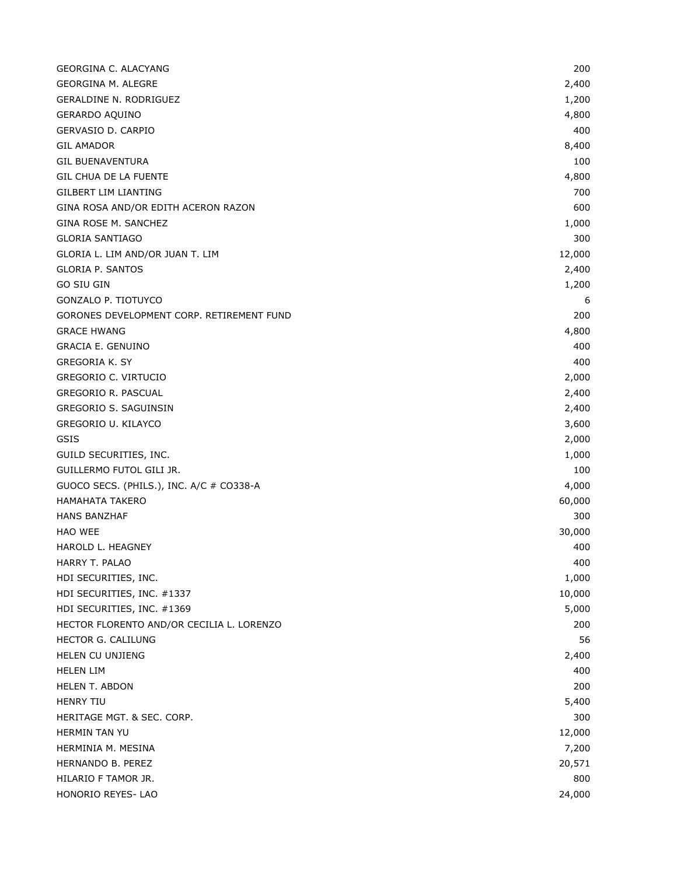| GEORGINA C. ALACYANG                      | 200    |
|-------------------------------------------|--------|
| <b>GEORGINA M. ALEGRE</b>                 | 2,400  |
| GERALDINE N. RODRIGUEZ                    | 1,200  |
| GERARDO AQUINO                            | 4,800  |
| GERVASIO D. CARPIO                        | 400    |
| <b>GIL AMADOR</b>                         | 8,400  |
| <b>GIL BUENAVENTURA</b>                   | 100    |
| <b>GIL CHUA DE LA FUENTE</b>              | 4,800  |
| <b>GILBERT LIM LIANTING</b>               | 700    |
| GINA ROSA AND/OR EDITH ACERON RAZON       | 600    |
| GINA ROSE M. SANCHEZ                      | 1,000  |
| <b>GLORIA SANTIAGO</b>                    | 300    |
| GLORIA L. LIM AND/OR JUAN T. LIM          | 12,000 |
| <b>GLORIA P. SANTOS</b>                   | 2,400  |
| <b>GO SIU GIN</b>                         | 1,200  |
| GONZALO P. TIOTUYCO                       | 6      |
| GORONES DEVELOPMENT CORP. RETIREMENT FUND | 200    |
| <b>GRACE HWANG</b>                        | 4,800  |
| <b>GRACIA E. GENUINO</b>                  | 400    |
| <b>GREGORIA K. SY</b>                     | 400    |
| <b>GREGORIO C. VIRTUCIO</b>               | 2,000  |
| GREGORIO R. PASCUAL                       | 2,400  |
| GREGORIO S. SAGUINSIN                     | 2,400  |
| GREGORIO U. KILAYCO                       | 3,600  |
| GSIS                                      | 2,000  |
| GUILD SECURITIES, INC.                    | 1,000  |
| GUILLERMO FUTOL GILI JR.                  | 100    |
| GUOCO SECS. (PHILS.), INC. A/C # CO338-A  | 4,000  |
| <b>HAMAHATA TAKERO</b>                    | 60,000 |
| <b>HANS BANZHAF</b>                       | 300    |
| HAO WEE                                   | 30,000 |
| HAROLD L. HEAGNEY                         | 400    |
| HARRY T. PALAO                            | 400    |
| HDI SECURITIES, INC.                      | 1,000  |
| HDI SECURITIES, INC. #1337                | 10,000 |
| HDI SECURITIES, INC. #1369                | 5,000  |
| HECTOR FLORENTO AND/OR CECILIA L. LORENZO | 200    |
| HECTOR G. CALILUNG                        | 56     |
| HELEN CU UNJIENG                          | 2,400  |
| <b>HELEN LIM</b>                          | 400    |
| <b>HELEN T. ABDON</b>                     | 200    |
| <b>HENRY TIU</b>                          | 5,400  |
| HERITAGE MGT. & SEC. CORP.                | 300    |
| <b>HERMIN TAN YU</b>                      | 12,000 |
| HERMINIA M. MESINA                        | 7,200  |
| HERNANDO B. PEREZ                         | 20,571 |
| HILARIO F TAMOR JR.                       | 800    |
| HONORIO REYES- LAO                        | 24,000 |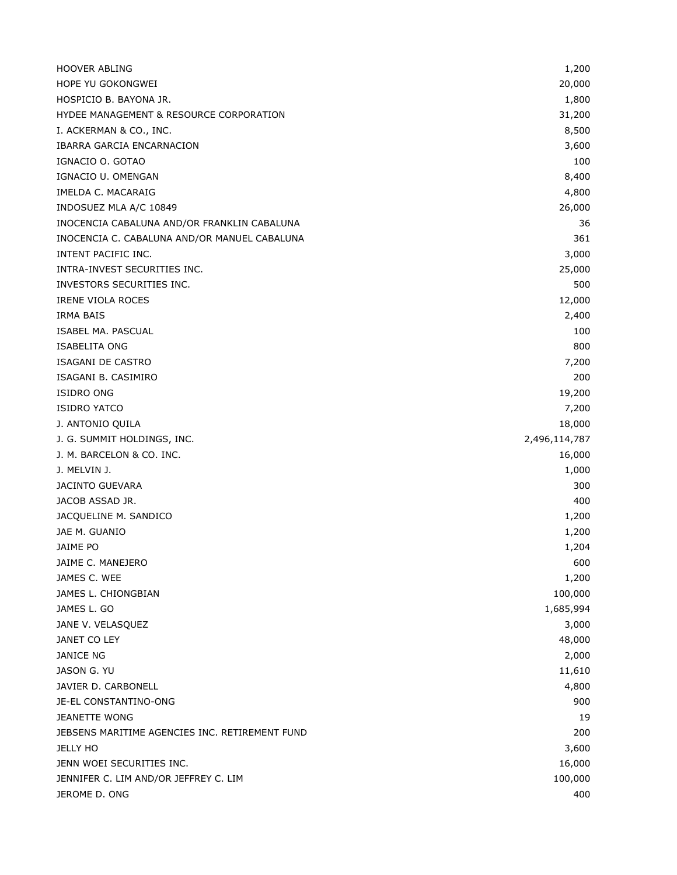| <b>HOOVER ABLING</b>                           | 1,200         |
|------------------------------------------------|---------------|
| HOPE YU GOKONGWEI                              | 20,000        |
| HOSPICIO B. BAYONA JR.                         | 1,800         |
| HYDEE MANAGEMENT & RESOURCE CORPORATION        | 31,200        |
| I. ACKERMAN & CO., INC.                        | 8,500         |
| IBARRA GARCIA ENCARNACION                      | 3,600         |
| IGNACIO O. GOTAO                               | 100           |
| IGNACIO U. OMENGAN                             | 8,400         |
| IMELDA C. MACARAIG                             | 4,800         |
| INDOSUEZ MLA A/C 10849                         | 26,000        |
| INOCENCIA CABALUNA AND/OR FRANKLIN CABALUNA    | 36            |
| INOCENCIA C. CABALUNA AND/OR MANUEL CABALUNA   | 361           |
| INTENT PACIFIC INC.                            | 3,000         |
| INTRA-INVEST SECURITIES INC.                   | 25,000        |
| INVESTORS SECURITIES INC.                      | 500           |
| <b>IRENE VIOLA ROCES</b>                       | 12,000        |
| IRMA BAIS                                      | 2,400         |
| ISABEL MA. PASCUAL                             | 100           |
| <b>ISABELITA ONG</b>                           | 800           |
| ISAGANI DE CASTRO                              | 7,200         |
| ISAGANI B. CASIMIRO                            | 200           |
| <b>ISIDRO ONG</b>                              | 19,200        |
| <b>ISIDRO YATCO</b>                            | 7,200         |
| J. ANTONIO QUILA                               | 18,000        |
| J. G. SUMMIT HOLDINGS, INC.                    | 2,496,114,787 |
| J. M. BARCELON & CO. INC.                      | 16,000        |
| J. MELVIN J.                                   | 1,000         |
| <b>JACINTO GUEVARA</b>                         | 300           |
| JACOB ASSAD JR.                                | 400           |
| JACQUELINE M. SANDICO                          | 1,200         |
| JAE M. GUANIO                                  | 1,200         |
| JAIME PO                                       | 1,204         |
| JAIME C. MANEJERO                              | 600           |
| JAMES C. WEE                                   | 1,200         |
| JAMES L. CHIONGBIAN                            | 100,000       |
| JAMES L. GO                                    | 1,685,994     |
| JANE V. VELASQUEZ                              | 3,000         |
| JANET CO LEY                                   | 48,000        |
| <b>JANICE NG</b>                               | 2,000         |
| JASON G. YU                                    | 11,610        |
| JAVIER D. CARBONELL                            | 4,800         |
| JE-EL CONSTANTINO-ONG                          | 900           |
| <b>JEANETTE WONG</b>                           | 19            |
| JEBSENS MARITIME AGENCIES INC. RETIREMENT FUND | 200           |
| <b>JELLY HO</b>                                | 3,600         |
| JENN WOEI SECURITIES INC.                      | 16,000        |
| JENNIFER C. LIM AND/OR JEFFREY C. LIM          | 100,000       |
| JEROME D. ONG                                  | 400           |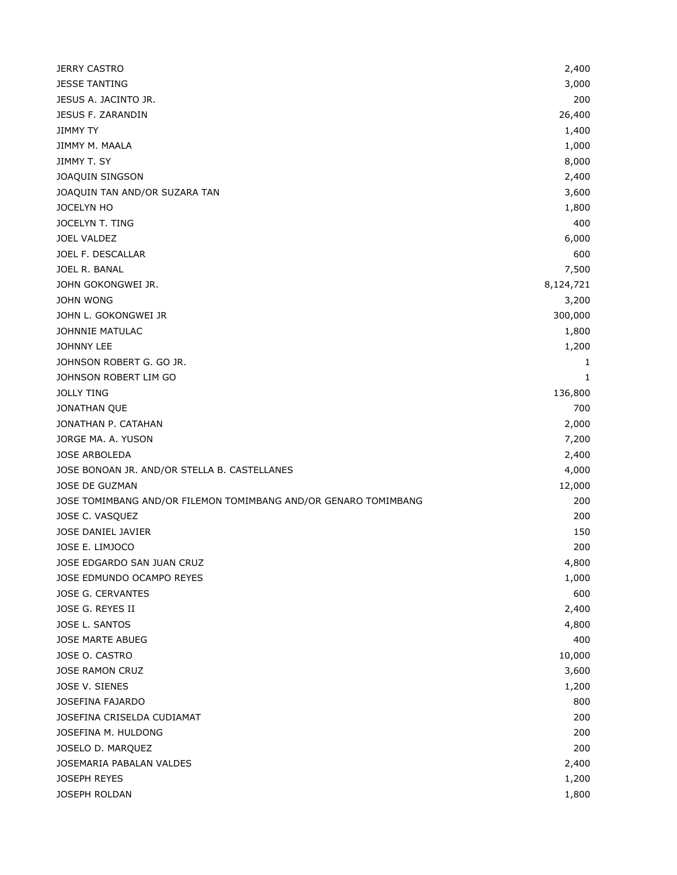| <b>JERRY CASTRO</b>                                             | 2,400     |
|-----------------------------------------------------------------|-----------|
| <b>JESSE TANTING</b>                                            | 3,000     |
| JESUS A. JACINTO JR.                                            | 200       |
| JESUS F. ZARANDIN                                               | 26,400    |
| <b>JIMMY TY</b>                                                 | 1,400     |
| JIMMY M. MAALA                                                  | 1,000     |
| JIMMY T. SY                                                     | 8,000     |
| JOAQUIN SINGSON                                                 | 2,400     |
| JOAQUIN TAN AND/OR SUZARA TAN                                   | 3,600     |
| JOCELYN HO                                                      | 1,800     |
| JOCELYN T. TING                                                 | 400       |
| <b>JOEL VALDEZ</b>                                              | 6,000     |
| JOEL F. DESCALLAR                                               | 600       |
| JOEL R. BANAL                                                   | 7,500     |
| JOHN GOKONGWEI JR.                                              | 8,124,721 |
| JOHN WONG                                                       | 3,200     |
| JOHN L. GOKONGWEI JR                                            | 300,000   |
| JOHNNIE MATULAC                                                 | 1,800     |
| JOHNNY LEE                                                      | 1,200     |
| JOHNSON ROBERT G. GO JR.                                        | 1         |
| JOHNSON ROBERT LIM GO                                           | 1         |
| <b>JOLLY TING</b>                                               | 136,800   |
| JONATHAN QUE                                                    | 700       |
| JONATHAN P. CATAHAN                                             | 2,000     |
| JORGE MA. A. YUSON                                              | 7,200     |
| <b>JOSE ARBOLEDA</b>                                            | 2,400     |
| JOSE BONOAN JR. AND/OR STELLA B. CASTELLANES                    | 4,000     |
| JOSE DE GUZMAN                                                  | 12,000    |
| JOSE TOMIMBANG AND/OR FILEMON TOMIMBANG AND/OR GENARO TOMIMBANG | 200       |
| JOSE C. VASQUEZ                                                 | 200       |
| JOSE DANIEL JAVIER                                              | 150       |
| JOSE E. LIMJOCO                                                 | 200       |
| JOSE EDGARDO SAN JUAN CRUZ                                      | 4,800     |
| JOSE EDMUNDO OCAMPO REYES                                       | 1,000     |
| JOSE G. CERVANTES                                               | 600       |
| JOSE G. REYES II                                                | 2,400     |
| JOSE L. SANTOS                                                  | 4,800     |
| <b>JOSE MARTE ABUEG</b>                                         | 400       |
| JOSE O. CASTRO                                                  | 10,000    |
| JOSE RAMON CRUZ                                                 | 3,600     |
| JOSE V. SIENES                                                  | 1,200     |
| <b>JOSEFINA FAJARDO</b>                                         | 800       |
| JOSEFINA CRISELDA CUDIAMAT                                      | 200       |
| JOSEFINA M. HULDONG                                             | 200       |
| JOSELO D. MARQUEZ                                               | 200       |
| JOSEMARIA PABALAN VALDES                                        | 2,400     |
| <b>JOSEPH REYES</b>                                             | 1,200     |
| JOSEPH ROLDAN                                                   | 1,800     |
|                                                                 |           |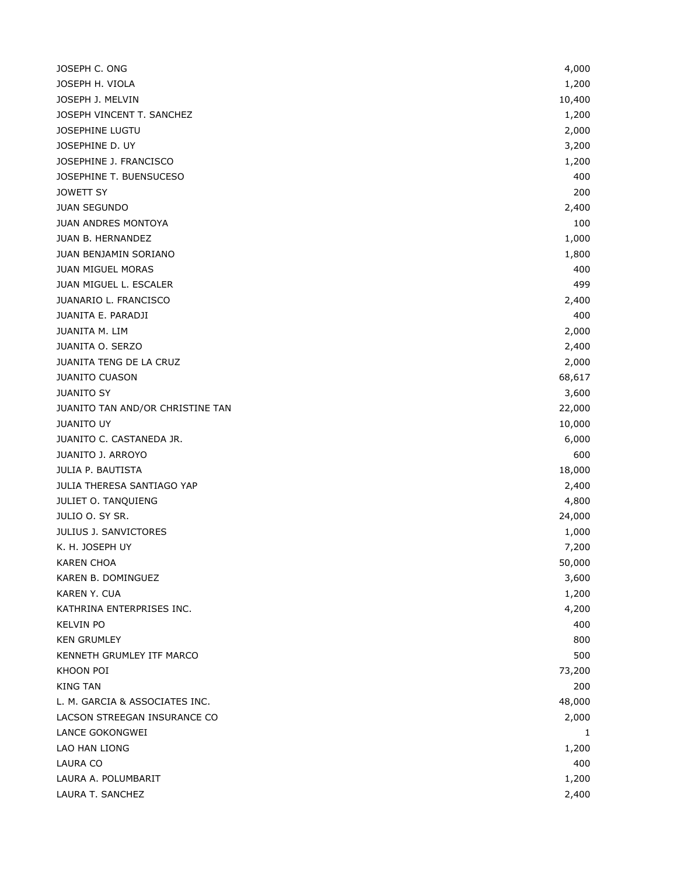| JOSEPH C. ONG                    | 4,000  |
|----------------------------------|--------|
| JOSEPH H. VIOLA                  | 1,200  |
| JOSEPH J. MELVIN                 | 10,400 |
| JOSEPH VINCENT T. SANCHEZ        | 1,200  |
| JOSEPHINE LUGTU                  | 2,000  |
| JOSEPHINE D. UY                  | 3,200  |
| JOSEPHINE J. FRANCISCO           | 1,200  |
| JOSEPHINE T. BUENSUCESO          | 400    |
| <b>JOWETT SY</b>                 | 200    |
| <b>JUAN SEGUNDO</b>              | 2,400  |
| <b>JUAN ANDRES MONTOYA</b>       | 100    |
| JUAN B. HERNANDEZ                | 1,000  |
| JUAN BENJAMIN SORIANO            | 1,800  |
| <b>JUAN MIGUEL MORAS</b>         | 400    |
| JUAN MIGUEL L. ESCALER           | 499    |
| JUANARIO L. FRANCISCO            | 2,400  |
| JUANITA E. PARADJI               | 400    |
| JUANITA M. LIM                   | 2,000  |
| JUANITA O. SERZO                 | 2,400  |
| JUANITA TENG DE LA CRUZ          | 2,000  |
| <b>JUANITO CUASON</b>            | 68,617 |
| <b>JUANITO SY</b>                | 3,600  |
| JUANITO TAN AND/OR CHRISTINE TAN | 22,000 |
| <b>JUANITO UY</b>                | 10,000 |
| JUANITO C. CASTANEDA JR.         | 6,000  |
| <b>JUANITO J. ARROYO</b>         | 600    |
| JULIA P. BAUTISTA                | 18,000 |
| JULIA THERESA SANTIAGO YAP       | 2,400  |
| JULIET O. TANQUIENG              | 4,800  |
| JULIO O. SY SR.                  | 24,000 |
| JULIUS J. SANVICTORES            | 1,000  |
| K. H. JOSEPH UY                  | 7,200  |
| <b>KAREN CHOA</b>                | 50,000 |
| KAREN B. DOMINGUEZ               | 3,600  |
| KAREN Y. CUA                     | 1,200  |
| KATHRINA ENTERPRISES INC.        | 4,200  |
| <b>KELVIN PO</b>                 | 400    |
| <b>KEN GRUMLEY</b>               | 800    |
| KENNETH GRUMLEY ITF MARCO        | 500    |
| KHOON POI                        | 73,200 |
| <b>KING TAN</b>                  | 200    |
| L. M. GARCIA & ASSOCIATES INC.   | 48,000 |
| LACSON STREEGAN INSURANCE CO     | 2,000  |
| LANCE GOKONGWEI                  | 1      |
| LAO HAN LIONG                    | 1,200  |
| LAURA CO                         | 400    |
| LAURA A. POLUMBARIT              | 1,200  |
| LAURA T. SANCHEZ                 | 2,400  |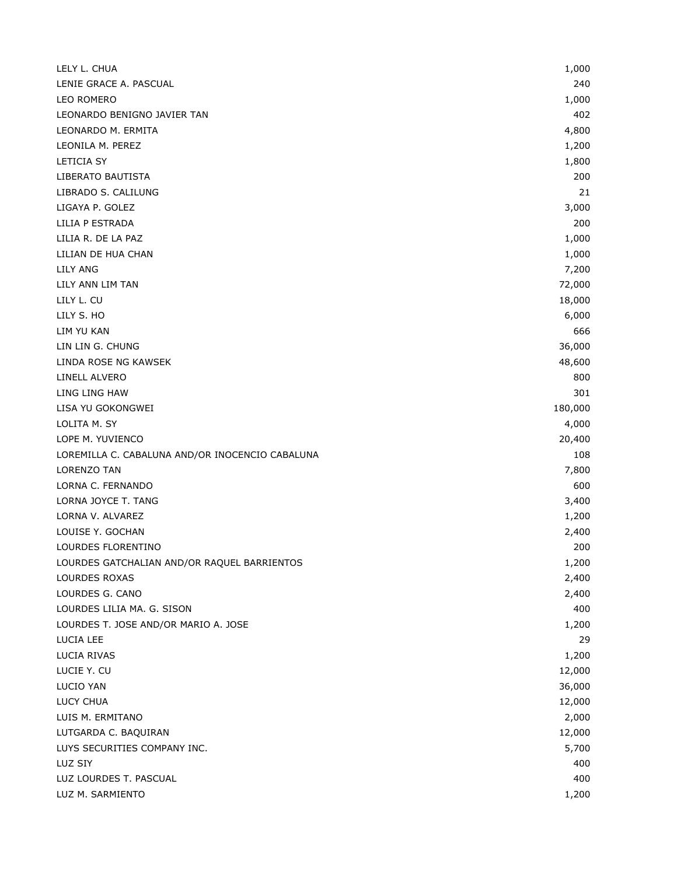| 240<br>1,000<br>LEONARDO BENIGNO JAVIER TAN<br>402<br>LEONARDO M. ERMITA<br>4,800<br>LEONILA M. PEREZ<br>1,200<br><b>LETICIA SY</b><br>1,800<br>LIBERATO BAUTISTA<br>200<br>LIBRADO S. CALILUNG<br>21<br>LIGAYA P. GOLEZ<br>3,000<br>LILIA P ESTRADA<br>200<br>LILIA R. DE LA PAZ<br>1,000<br>LILIAN DE HUA CHAN<br>1,000<br>7,200<br>72,000<br>LILY ANN LIM TAN<br>LILY L. CU<br>18,000<br>LILY S. HO<br>6,000<br>LIM YU KAN<br>666<br>LIN LIN G. CHUNG<br>36,000<br>LINDA ROSE NG KAWSEK<br>48,600<br>LINELL ALVERO<br>800<br>LING LING HAW<br>301<br>180,000<br>LISA YU GOKONGWEI<br>LOLITA M. SY<br>4,000<br>LOPE M. YUVIENCO<br>20,400<br>LOREMILLA C. CABALUNA AND/OR INOCENCIO CABALUNA<br>108<br>7,800<br><b>LORENZO TAN</b><br>LORNA C. FERNANDO<br>600<br>LORNA JOYCE T. TANG<br>3,400<br>1,200<br>LOUISE Y. GOCHAN<br>2,400<br>LOURDES FLORENTINO<br>200<br>LOURDES GATCHALIAN AND/OR RAQUEL BARRIENTOS<br>1,200<br>LOURDES ROXAS<br>2,400<br>LOURDES G. CANO<br>2,400<br>400<br>LOURDES T. JOSE AND/OR MARIO A. JOSE<br>1,200<br>29<br>LUCIA RIVAS<br>1,200<br>12,000<br>36,000<br>LUCY CHUA<br>12,000<br>LUIS M. ERMITANO<br>2,000<br>12,000<br>LUYS SECURITIES COMPANY INC.<br>5,700<br>400<br>400<br>LUZ M. SARMIENTO<br>1,200 | LELY L. CHUA               | 1,000 |
|-----------------------------------------------------------------------------------------------------------------------------------------------------------------------------------------------------------------------------------------------------------------------------------------------------------------------------------------------------------------------------------------------------------------------------------------------------------------------------------------------------------------------------------------------------------------------------------------------------------------------------------------------------------------------------------------------------------------------------------------------------------------------------------------------------------------------------------------------------------------------------------------------------------------------------------------------------------------------------------------------------------------------------------------------------------------------------------------------------------------------------------------------------------------------------------------------------------------------------------------------|----------------------------|-------|
|                                                                                                                                                                                                                                                                                                                                                                                                                                                                                                                                                                                                                                                                                                                                                                                                                                                                                                                                                                                                                                                                                                                                                                                                                                               | LENIE GRACE A. PASCUAL     |       |
|                                                                                                                                                                                                                                                                                                                                                                                                                                                                                                                                                                                                                                                                                                                                                                                                                                                                                                                                                                                                                                                                                                                                                                                                                                               | LEO ROMERO                 |       |
|                                                                                                                                                                                                                                                                                                                                                                                                                                                                                                                                                                                                                                                                                                                                                                                                                                                                                                                                                                                                                                                                                                                                                                                                                                               |                            |       |
|                                                                                                                                                                                                                                                                                                                                                                                                                                                                                                                                                                                                                                                                                                                                                                                                                                                                                                                                                                                                                                                                                                                                                                                                                                               |                            |       |
|                                                                                                                                                                                                                                                                                                                                                                                                                                                                                                                                                                                                                                                                                                                                                                                                                                                                                                                                                                                                                                                                                                                                                                                                                                               |                            |       |
|                                                                                                                                                                                                                                                                                                                                                                                                                                                                                                                                                                                                                                                                                                                                                                                                                                                                                                                                                                                                                                                                                                                                                                                                                                               |                            |       |
|                                                                                                                                                                                                                                                                                                                                                                                                                                                                                                                                                                                                                                                                                                                                                                                                                                                                                                                                                                                                                                                                                                                                                                                                                                               |                            |       |
|                                                                                                                                                                                                                                                                                                                                                                                                                                                                                                                                                                                                                                                                                                                                                                                                                                                                                                                                                                                                                                                                                                                                                                                                                                               |                            |       |
|                                                                                                                                                                                                                                                                                                                                                                                                                                                                                                                                                                                                                                                                                                                                                                                                                                                                                                                                                                                                                                                                                                                                                                                                                                               |                            |       |
|                                                                                                                                                                                                                                                                                                                                                                                                                                                                                                                                                                                                                                                                                                                                                                                                                                                                                                                                                                                                                                                                                                                                                                                                                                               |                            |       |
|                                                                                                                                                                                                                                                                                                                                                                                                                                                                                                                                                                                                                                                                                                                                                                                                                                                                                                                                                                                                                                                                                                                                                                                                                                               |                            |       |
|                                                                                                                                                                                                                                                                                                                                                                                                                                                                                                                                                                                                                                                                                                                                                                                                                                                                                                                                                                                                                                                                                                                                                                                                                                               |                            |       |
|                                                                                                                                                                                                                                                                                                                                                                                                                                                                                                                                                                                                                                                                                                                                                                                                                                                                                                                                                                                                                                                                                                                                                                                                                                               | <b>LILY ANG</b>            |       |
|                                                                                                                                                                                                                                                                                                                                                                                                                                                                                                                                                                                                                                                                                                                                                                                                                                                                                                                                                                                                                                                                                                                                                                                                                                               |                            |       |
|                                                                                                                                                                                                                                                                                                                                                                                                                                                                                                                                                                                                                                                                                                                                                                                                                                                                                                                                                                                                                                                                                                                                                                                                                                               |                            |       |
|                                                                                                                                                                                                                                                                                                                                                                                                                                                                                                                                                                                                                                                                                                                                                                                                                                                                                                                                                                                                                                                                                                                                                                                                                                               |                            |       |
|                                                                                                                                                                                                                                                                                                                                                                                                                                                                                                                                                                                                                                                                                                                                                                                                                                                                                                                                                                                                                                                                                                                                                                                                                                               |                            |       |
|                                                                                                                                                                                                                                                                                                                                                                                                                                                                                                                                                                                                                                                                                                                                                                                                                                                                                                                                                                                                                                                                                                                                                                                                                                               |                            |       |
|                                                                                                                                                                                                                                                                                                                                                                                                                                                                                                                                                                                                                                                                                                                                                                                                                                                                                                                                                                                                                                                                                                                                                                                                                                               |                            |       |
|                                                                                                                                                                                                                                                                                                                                                                                                                                                                                                                                                                                                                                                                                                                                                                                                                                                                                                                                                                                                                                                                                                                                                                                                                                               |                            |       |
|                                                                                                                                                                                                                                                                                                                                                                                                                                                                                                                                                                                                                                                                                                                                                                                                                                                                                                                                                                                                                                                                                                                                                                                                                                               |                            |       |
|                                                                                                                                                                                                                                                                                                                                                                                                                                                                                                                                                                                                                                                                                                                                                                                                                                                                                                                                                                                                                                                                                                                                                                                                                                               |                            |       |
|                                                                                                                                                                                                                                                                                                                                                                                                                                                                                                                                                                                                                                                                                                                                                                                                                                                                                                                                                                                                                                                                                                                                                                                                                                               |                            |       |
|                                                                                                                                                                                                                                                                                                                                                                                                                                                                                                                                                                                                                                                                                                                                                                                                                                                                                                                                                                                                                                                                                                                                                                                                                                               |                            |       |
|                                                                                                                                                                                                                                                                                                                                                                                                                                                                                                                                                                                                                                                                                                                                                                                                                                                                                                                                                                                                                                                                                                                                                                                                                                               |                            |       |
|                                                                                                                                                                                                                                                                                                                                                                                                                                                                                                                                                                                                                                                                                                                                                                                                                                                                                                                                                                                                                                                                                                                                                                                                                                               |                            |       |
|                                                                                                                                                                                                                                                                                                                                                                                                                                                                                                                                                                                                                                                                                                                                                                                                                                                                                                                                                                                                                                                                                                                                                                                                                                               |                            |       |
|                                                                                                                                                                                                                                                                                                                                                                                                                                                                                                                                                                                                                                                                                                                                                                                                                                                                                                                                                                                                                                                                                                                                                                                                                                               |                            |       |
|                                                                                                                                                                                                                                                                                                                                                                                                                                                                                                                                                                                                                                                                                                                                                                                                                                                                                                                                                                                                                                                                                                                                                                                                                                               | LORNA V. ALVAREZ           |       |
|                                                                                                                                                                                                                                                                                                                                                                                                                                                                                                                                                                                                                                                                                                                                                                                                                                                                                                                                                                                                                                                                                                                                                                                                                                               |                            |       |
|                                                                                                                                                                                                                                                                                                                                                                                                                                                                                                                                                                                                                                                                                                                                                                                                                                                                                                                                                                                                                                                                                                                                                                                                                                               |                            |       |
|                                                                                                                                                                                                                                                                                                                                                                                                                                                                                                                                                                                                                                                                                                                                                                                                                                                                                                                                                                                                                                                                                                                                                                                                                                               |                            |       |
|                                                                                                                                                                                                                                                                                                                                                                                                                                                                                                                                                                                                                                                                                                                                                                                                                                                                                                                                                                                                                                                                                                                                                                                                                                               |                            |       |
|                                                                                                                                                                                                                                                                                                                                                                                                                                                                                                                                                                                                                                                                                                                                                                                                                                                                                                                                                                                                                                                                                                                                                                                                                                               |                            |       |
|                                                                                                                                                                                                                                                                                                                                                                                                                                                                                                                                                                                                                                                                                                                                                                                                                                                                                                                                                                                                                                                                                                                                                                                                                                               | LOURDES LILIA MA. G. SISON |       |
|                                                                                                                                                                                                                                                                                                                                                                                                                                                                                                                                                                                                                                                                                                                                                                                                                                                                                                                                                                                                                                                                                                                                                                                                                                               |                            |       |
|                                                                                                                                                                                                                                                                                                                                                                                                                                                                                                                                                                                                                                                                                                                                                                                                                                                                                                                                                                                                                                                                                                                                                                                                                                               | LUCIA LEE                  |       |
|                                                                                                                                                                                                                                                                                                                                                                                                                                                                                                                                                                                                                                                                                                                                                                                                                                                                                                                                                                                                                                                                                                                                                                                                                                               |                            |       |
|                                                                                                                                                                                                                                                                                                                                                                                                                                                                                                                                                                                                                                                                                                                                                                                                                                                                                                                                                                                                                                                                                                                                                                                                                                               | LUCIE Y. CU                |       |
|                                                                                                                                                                                                                                                                                                                                                                                                                                                                                                                                                                                                                                                                                                                                                                                                                                                                                                                                                                                                                                                                                                                                                                                                                                               | LUCIO YAN                  |       |
|                                                                                                                                                                                                                                                                                                                                                                                                                                                                                                                                                                                                                                                                                                                                                                                                                                                                                                                                                                                                                                                                                                                                                                                                                                               |                            |       |
|                                                                                                                                                                                                                                                                                                                                                                                                                                                                                                                                                                                                                                                                                                                                                                                                                                                                                                                                                                                                                                                                                                                                                                                                                                               |                            |       |
|                                                                                                                                                                                                                                                                                                                                                                                                                                                                                                                                                                                                                                                                                                                                                                                                                                                                                                                                                                                                                                                                                                                                                                                                                                               | LUTGARDA C. BAQUIRAN       |       |
|                                                                                                                                                                                                                                                                                                                                                                                                                                                                                                                                                                                                                                                                                                                                                                                                                                                                                                                                                                                                                                                                                                                                                                                                                                               |                            |       |
|                                                                                                                                                                                                                                                                                                                                                                                                                                                                                                                                                                                                                                                                                                                                                                                                                                                                                                                                                                                                                                                                                                                                                                                                                                               | LUZ SIY                    |       |
|                                                                                                                                                                                                                                                                                                                                                                                                                                                                                                                                                                                                                                                                                                                                                                                                                                                                                                                                                                                                                                                                                                                                                                                                                                               | LUZ LOURDES T. PASCUAL     |       |
|                                                                                                                                                                                                                                                                                                                                                                                                                                                                                                                                                                                                                                                                                                                                                                                                                                                                                                                                                                                                                                                                                                                                                                                                                                               |                            |       |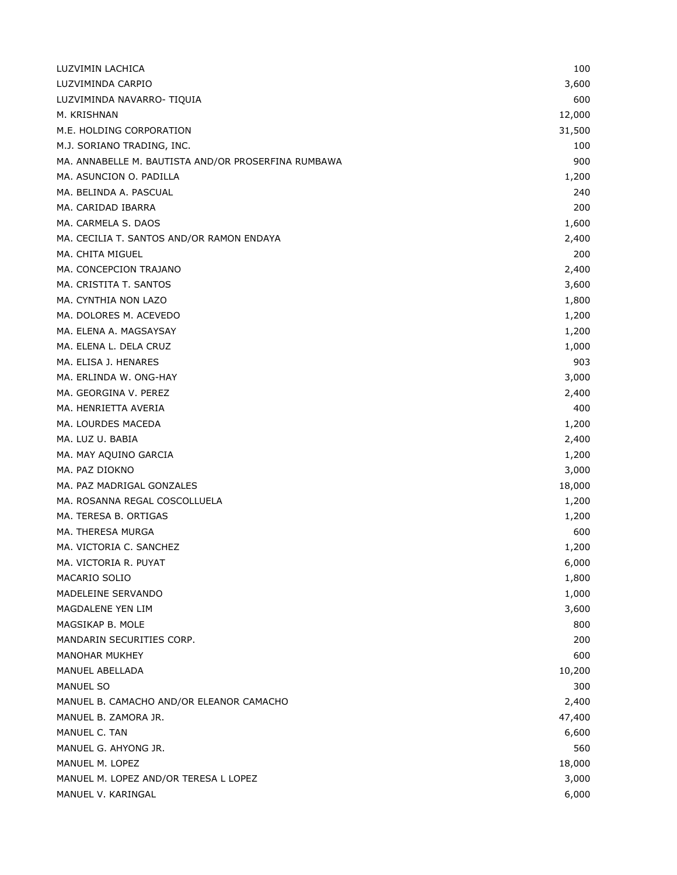| LUZVIMIN LACHICA                                    | 100    |
|-----------------------------------------------------|--------|
| LUZVIMINDA CARPIO                                   | 3,600  |
| LUZVIMINDA NAVARRO- TIQUIA                          | 600    |
| M. KRISHNAN                                         | 12,000 |
| M.E. HOLDING CORPORATION                            | 31,500 |
| M.J. SORIANO TRADING, INC.                          | 100    |
| MA. ANNABELLE M. BAUTISTA AND/OR PROSERFINA RUMBAWA | 900    |
| MA. ASUNCION O. PADILLA                             | 1,200  |
| MA. BELINDA A. PASCUAL                              | 240    |
| MA. CARIDAD IBARRA                                  | 200    |
| MA. CARMELA S. DAOS                                 | 1,600  |
| MA. CECILIA T. SANTOS AND/OR RAMON ENDAYA           | 2,400  |
| MA. CHITA MIGUEL                                    | 200    |
| MA. CONCEPCION TRAJANO                              | 2,400  |
| MA. CRISTITA T. SANTOS                              | 3,600  |
| MA. CYNTHIA NON LAZO                                | 1,800  |
| MA. DOLORES M. ACEVEDO                              | 1,200  |
| MA. ELENA A. MAGSAYSAY                              | 1,200  |
| MA. ELENA L. DELA CRUZ                              | 1,000  |
| MA. ELISA J. HENARES                                | 903    |
| MA. ERLINDA W. ONG-HAY                              | 3,000  |
| MA. GEORGINA V. PEREZ                               | 2,400  |
| MA. HENRIETTA AVERIA                                | 400    |
| MA. LOURDES MACEDA                                  | 1,200  |
| MA. LUZ U. BABIA                                    | 2,400  |
| MA. MAY AQUINO GARCIA                               | 1,200  |
| MA. PAZ DIOKNO                                      | 3,000  |
| MA. PAZ MADRIGAL GONZALES                           | 18,000 |
| MA. ROSANNA REGAL COSCOLLUELA                       | 1,200  |
| MA. TERESA B. ORTIGAS                               | 1,200  |
| MA. THERESA MURGA                                   | 600    |
| MA. VICTORIA C. SANCHEZ                             | 1,200  |
| MA. VICTORIA R. PUYAT                               | 6,000  |
| MACARIO SOLIO                                       | 1,800  |
| MADELEINE SERVANDO                                  | 1,000  |
| MAGDALENE YEN LIM                                   | 3,600  |
| MAGSIKAP B. MOLE                                    | 800    |
| MANDARIN SECURITIES CORP.                           | 200    |
| <b>MANOHAR MUKHEY</b>                               | 600    |
| MANUEL ABELLADA                                     | 10,200 |
| MANUEL SO                                           | 300    |
| MANUEL B. CAMACHO AND/OR ELEANOR CAMACHO            | 2,400  |
| MANUEL B. ZAMORA JR.                                | 47,400 |
| MANUEL C. TAN                                       | 6,600  |
| MANUEL G. AHYONG JR.                                | 560    |
| MANUEL M. LOPEZ                                     | 18,000 |
| MANUEL M. LOPEZ AND/OR TERESA L LOPEZ               | 3,000  |
| MANUEL V. KARINGAL                                  | 6,000  |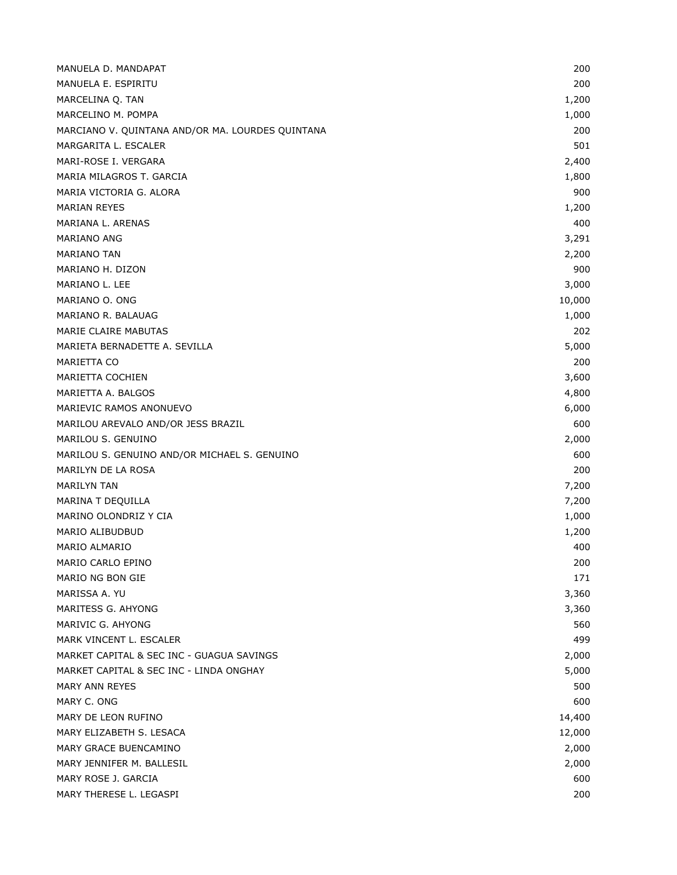| MANUELA D. MANDAPAT                              | 200    |
|--------------------------------------------------|--------|
| MANUELA E. ESPIRITU                              | 200    |
| MARCELINA Q. TAN                                 | 1,200  |
| MARCELINO M. POMPA                               | 1,000  |
| MARCIANO V. QUINTANA AND/OR MA. LOURDES QUINTANA | 200    |
| MARGARITA L. ESCALER                             | 501    |
| MARI-ROSE I. VERGARA                             | 2,400  |
| MARIA MILAGROS T. GARCIA                         | 1,800  |
| MARIA VICTORIA G. ALORA                          | 900    |
| <b>MARIAN REYES</b>                              | 1,200  |
| MARIANA L. ARENAS                                | 400    |
| MARIANO ANG                                      | 3,291  |
| <b>MARIANO TAN</b>                               | 2,200  |
| MARIANO H. DIZON                                 | 900    |
| MARIANO L. LEE                                   | 3,000  |
| MARIANO O. ONG                                   | 10,000 |
| MARIANO R. BALAUAG                               | 1,000  |
| <b>MARIE CLAIRE MABUTAS</b>                      | 202    |
| MARIETA BERNADETTE A. SEVILLA                    | 5,000  |
| MARIETTA CO                                      | 200    |
| MARIETTA COCHIEN                                 | 3,600  |
| MARIETTA A. BALGOS                               | 4,800  |
| MARIEVIC RAMOS ANONUEVO                          | 6,000  |
| MARILOU AREVALO AND/OR JESS BRAZIL               | 600    |
| MARILOU S. GENUINO                               | 2,000  |
| MARILOU S. GENUINO AND/OR MICHAEL S. GENUINO     | 600    |
| MARILYN DE LA ROSA                               | 200    |
| <b>MARILYN TAN</b>                               | 7,200  |
| MARINA T DEQUILLA                                | 7,200  |
| MARINO OLONDRIZ Y CIA                            | 1,000  |
| MARIO ALIBUDBUD                                  | 1,200  |
| <b>MARIO ALMARIO</b>                             | 400    |
| MARIO CARLO EPINO                                | 200    |
| MARIO NG BON GIE                                 | 171    |
| MARISSA A. YU                                    | 3,360  |
| MARITESS G. AHYONG                               | 3,360  |
| MARIVIC G. AHYONG                                | 560    |
| MARK VINCENT L. ESCALER                          | 499    |
| MARKET CAPITAL & SEC INC - GUAGUA SAVINGS        | 2,000  |
| MARKET CAPITAL & SEC INC - LINDA ONGHAY          | 5,000  |
| MARY ANN REYES                                   | 500    |
| MARY C. ONG                                      | 600    |
| MARY DE LEON RUFINO                              | 14,400 |
| MARY ELIZABETH S. LESACA                         | 12,000 |
| MARY GRACE BUENCAMINO                            | 2,000  |
| MARY JENNIFER M. BALLESIL                        | 2,000  |
| MARY ROSE J. GARCIA                              | 600    |
| MARY THERESE L. LEGASPI                          | 200    |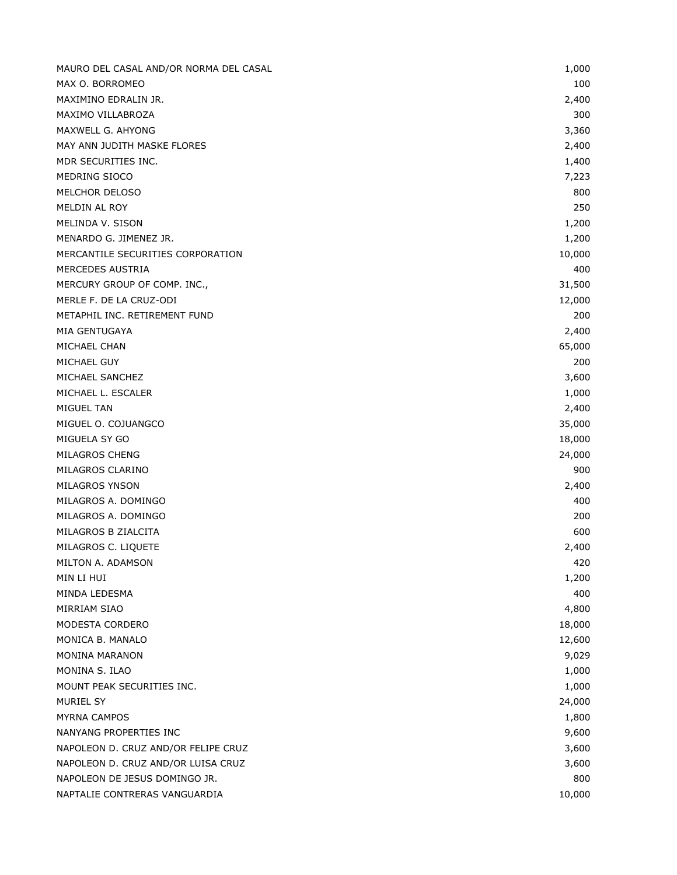| MAURO DEL CASAL AND/OR NORMA DEL CASAL | 1,000  |
|----------------------------------------|--------|
| MAX O. BORROMEO                        | 100    |
| MAXIMINO EDRALIN JR.                   | 2,400  |
| MAXIMO VILLABROZA                      | 300    |
| MAXWELL G. AHYONG                      | 3,360  |
| MAY ANN JUDITH MASKE FLORES            | 2,400  |
| MDR SECURITIES INC.                    | 1,400  |
| MEDRING SIOCO                          | 7,223  |
| MELCHOR DELOSO                         | 800    |
| MELDIN AL ROY                          | 250    |
| MELINDA V. SISON                       | 1,200  |
|                                        |        |
| MENARDO G. JIMENEZ JR.                 | 1,200  |
| MERCANTILE SECURITIES CORPORATION      | 10,000 |
| MERCEDES AUSTRIA                       | 400    |
| MERCURY GROUP OF COMP. INC.,           | 31,500 |
| MERLE F. DE LA CRUZ-ODI                | 12,000 |
| METAPHIL INC. RETIREMENT FUND          | 200    |
| MIA GENTUGAYA                          | 2,400  |
| MICHAEL CHAN                           | 65,000 |
| MICHAEL GUY                            | 200    |
| MICHAEL SANCHEZ                        | 3,600  |
| MICHAEL L. ESCALER                     | 1,000  |
| MIGUEL TAN                             | 2,400  |
| MIGUEL O. COJUANGCO                    | 35,000 |
| MIGUELA SY GO                          | 18,000 |
| MILAGROS CHENG                         | 24,000 |
| MILAGROS CLARINO                       | 900    |
| MILAGROS YNSON                         | 2,400  |
| MILAGROS A. DOMINGO                    | 400    |
| MILAGROS A. DOMINGO                    | 200    |
| MILAGROS B ZIALCITA                    | 600    |
| MILAGROS C. LIQUETE                    | 2,400  |
| MILTON A. ADAMSON                      | 420    |
| MIN LI HUI                             | 1,200  |
| MINDA LEDESMA                          | 400    |
| <b>MIRRIAM SIAO</b>                    | 4,800  |
| MODESTA CORDERO                        | 18,000 |
| MONICA B. MANALO                       | 12,600 |
| MONINA MARANON                         | 9,029  |
| MONINA S. ILAO                         | 1,000  |
| MOUNT PEAK SECURITIES INC.             | 1,000  |
| MURIEL SY                              | 24,000 |
| <b>MYRNA CAMPOS</b>                    | 1,800  |
| NANYANG PROPERTIES INC                 | 9,600  |
| NAPOLEON D. CRUZ AND/OR FELIPE CRUZ    | 3,600  |
|                                        |        |
| NAPOLEON D. CRUZ AND/OR LUISA CRUZ     | 3,600  |
| NAPOLEON DE JESUS DOMINGO JR.          | 800    |
| NAPTALIE CONTRERAS VANGUARDIA          | 10,000 |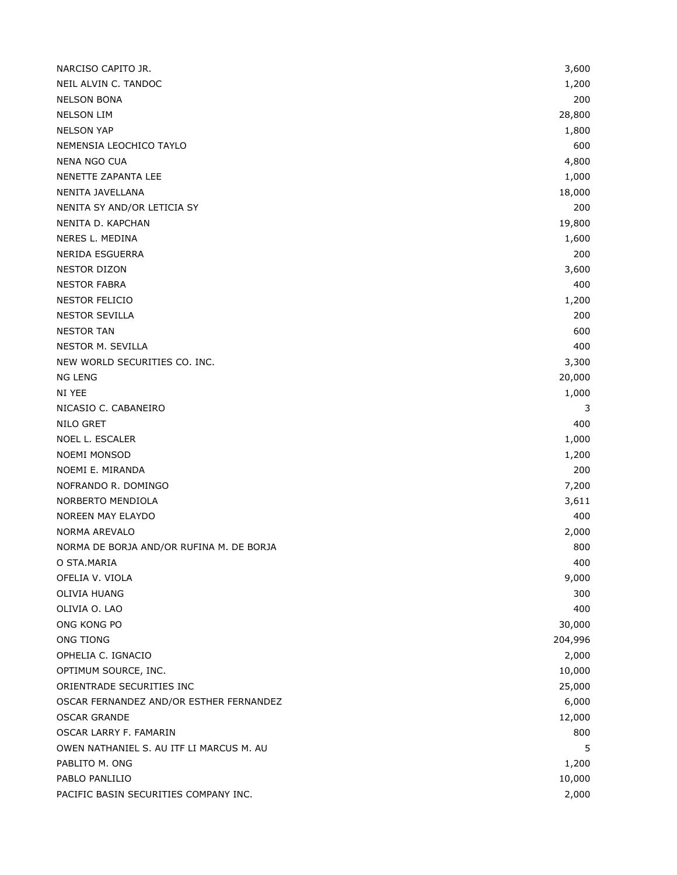| NARCISO CAPITO JR.                       | 3,600   |
|------------------------------------------|---------|
| NEIL ALVIN C. TANDOC                     | 1,200   |
| <b>NELSON BONA</b>                       | 200     |
| <b>NELSON LIM</b>                        | 28,800  |
| <b>NELSON YAP</b>                        | 1,800   |
| NEMENSIA LEOCHICO TAYLO                  | 600     |
| NENA NGO CUA                             | 4,800   |
| NENETTE ZAPANTA LEE                      | 1,000   |
| NENITA JAVELLANA                         | 18,000  |
| NENITA SY AND/OR LETICIA SY              | 200     |
| NENITA D. KAPCHAN                        | 19,800  |
| NERES L. MEDINA                          | 1,600   |
| NERIDA ESGUERRA                          | 200     |
| <b>NESTOR DIZON</b>                      | 3,600   |
| <b>NESTOR FABRA</b>                      | 400     |
| NESTOR FELICIO                           | 1,200   |
| <b>NESTOR SEVILLA</b>                    | 200     |
| <b>NESTOR TAN</b>                        | 600     |
| NESTOR M. SEVILLA                        | 400     |
| NEW WORLD SECURITIES CO. INC.            | 3,300   |
| NG LENG                                  | 20,000  |
| NI YEE                                   | 1,000   |
| NICASIO C. CABANEIRO                     | 3       |
| NILO GRET                                | 400     |
| NOEL L. ESCALER                          | 1,000   |
| <b>NOEMI MONSOD</b>                      | 1,200   |
| NOEMI E. MIRANDA                         | 200     |
| NOFRANDO R. DOMINGO                      | 7,200   |
| NORBERTO MENDIOLA                        | 3,611   |
| NOREEN MAY ELAYDO                        | 400     |
| NORMA AREVALO                            | 2,000   |
| NORMA DE BORJA AND/OR RUFINA M. DE BORJA | 800     |
| O STA.MARIA                              | 400     |
| OFELIA V. VIOLA                          | 9,000   |
| OLIVIA HUANG                             | 300     |
| OLIVIA O. LAO                            | 400     |
| ONG KONG PO                              | 30,000  |
| <b>ONG TIONG</b>                         | 204,996 |
| OPHELIA C. IGNACIO                       | 2,000   |
| OPTIMUM SOURCE, INC.                     | 10,000  |
| ORIENTRADE SECURITIES INC                | 25,000  |
| OSCAR FERNANDEZ AND/OR ESTHER FERNANDEZ  | 6,000   |
| <b>OSCAR GRANDE</b>                      | 12,000  |
| OSCAR LARRY F. FAMARIN                   | 800     |
| OWEN NATHANIEL S. AU ITF LI MARCUS M. AU | 5       |
| PABLITO M. ONG                           | 1,200   |
| PABLO PANLILIO                           | 10,000  |
| PACIFIC BASIN SECURITIES COMPANY INC.    | 2,000   |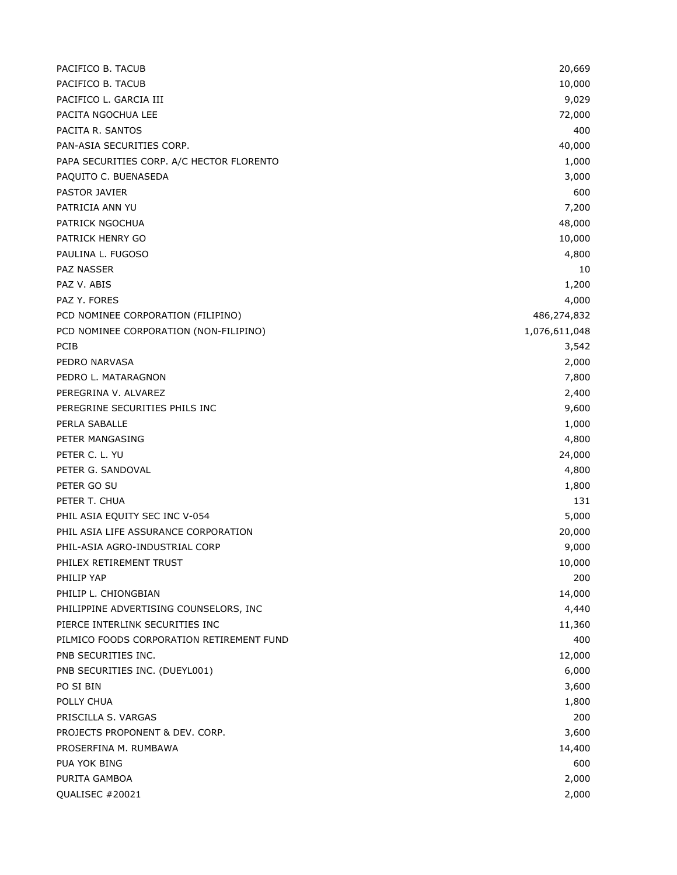| PACIFICO B. TACUB                         | 20,669        |
|-------------------------------------------|---------------|
| PACIFICO B. TACUB                         | 10,000        |
| PACIFICO L. GARCIA III                    | 9,029         |
| PACITA NGOCHUA LEE                        | 72,000        |
| PACITA R. SANTOS                          | 400           |
| PAN-ASIA SECURITIES CORP.                 | 40,000        |
| PAPA SECURITIES CORP. A/C HECTOR FLORENTO | 1,000         |
| PAQUITO C. BUENASEDA                      | 3,000         |
| PASTOR JAVIER                             | 600           |
| PATRICIA ANN YU                           | 7,200         |
| PATRICK NGOCHUA                           | 48,000        |
| PATRICK HENRY GO                          | 10,000        |
| PAULINA L. FUGOSO                         | 4,800         |
| <b>PAZ NASSER</b>                         | 10            |
| PAZ V. ABIS                               | 1,200         |
| PAZ Y. FORES                              | 4,000         |
| PCD NOMINEE CORPORATION (FILIPINO)        | 486,274,832   |
| PCD NOMINEE CORPORATION (NON-FILIPINO)    | 1,076,611,048 |
| <b>PCIB</b>                               | 3,542         |
| PEDRO NARVASA                             | 2,000         |
| PEDRO L. MATARAGNON                       | 7,800         |
| PEREGRINA V. ALVAREZ                      | 2,400         |
| PEREGRINE SECURITIES PHILS INC            | 9,600         |
| PERLA SABALLE                             | 1,000         |
| PETER MANGASING                           | 4,800         |
| PETER C. L. YU                            | 24,000        |
| PETER G. SANDOVAL                         | 4,800         |
| PETER GO SU                               | 1,800         |
| PETER T. CHUA                             | 131           |
| PHIL ASIA EQUITY SEC INC V-054            | 5,000         |
| PHIL ASIA LIFE ASSURANCE CORPORATION      | 20,000        |
| PHIL-ASIA AGRO-INDUSTRIAL CORP            | 9,000         |
| PHILEX RETIREMENT TRUST                   | 10,000        |
| PHILIP YAP                                | 200           |
| PHILIP L. CHIONGBIAN                      | 14,000        |
| PHILIPPINE ADVERTISING COUNSELORS, INC    | 4,440         |
| PIERCE INTERLINK SECURITIES INC           | 11,360        |
| PILMICO FOODS CORPORATION RETIREMENT FUND | 400           |
| PNB SECURITIES INC.                       | 12,000        |
| PNB SECURITIES INC. (DUEYL001)            | 6,000         |
| PO SI BIN                                 | 3,600         |
| POLLY CHUA                                | 1,800         |
| PRISCILLA S. VARGAS                       | 200           |
| PROJECTS PROPONENT & DEV. CORP.           | 3,600         |
| PROSERFINA M. RUMBAWA                     | 14,400        |
| PUA YOK BING                              | 600           |
| PURITA GAMBOA                             | 2,000         |
| QUALISEC #20021                           | 2,000         |
|                                           |               |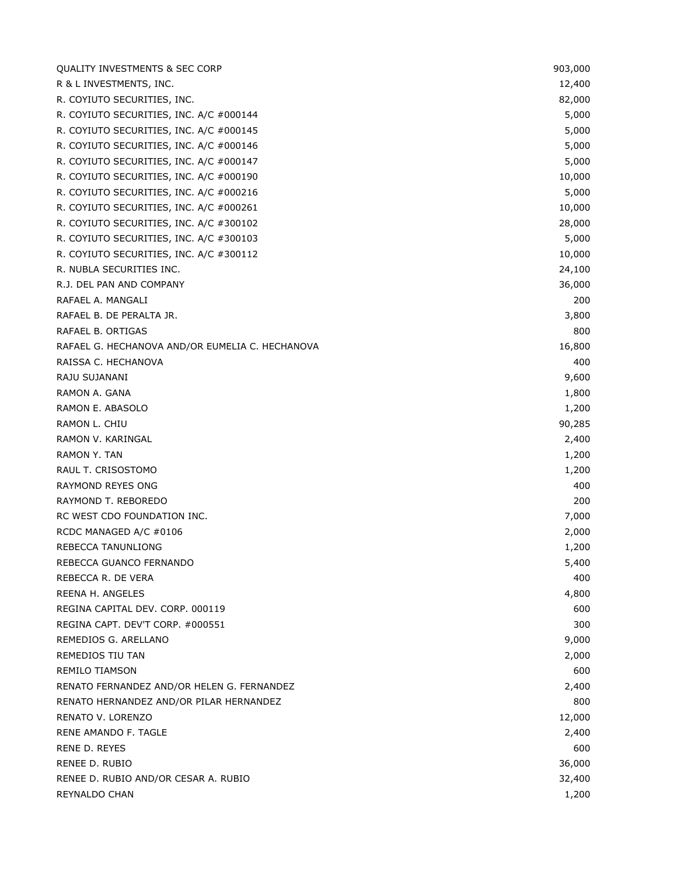| <b>QUALITY INVESTMENTS &amp; SEC CORP</b>       | 903,000 |
|-------------------------------------------------|---------|
| R & L INVESTMENTS, INC.                         | 12,400  |
| R. COYIUTO SECURITIES, INC.                     | 82,000  |
| R. COYIUTO SECURITIES, INC. A/C #000144         | 5,000   |
| R. COYIUTO SECURITIES, INC. A/C #000145         | 5,000   |
| R. COYIUTO SECURITIES, INC. A/C #000146         | 5,000   |
| R. COYIUTO SECURITIES, INC. A/C #000147         | 5,000   |
| R. COYIUTO SECURITIES, INC. A/C #000190         | 10,000  |
| R. COYIUTO SECURITIES, INC. A/C #000216         | 5,000   |
| R. COYIUTO SECURITIES, INC. A/C #000261         | 10,000  |
| R. COYIUTO SECURITIES, INC. A/C #300102         | 28,000  |
| R. COYIUTO SECURITIES, INC. A/C #300103         | 5,000   |
| R. COYIUTO SECURITIES, INC. A/C #300112         | 10,000  |
| R. NUBLA SECURITIES INC.                        | 24,100  |
| R.J. DEL PAN AND COMPANY                        | 36,000  |
| RAFAEL A. MANGALI                               | 200     |
| RAFAEL B. DE PERALTA JR.                        | 3,800   |
| RAFAEL B. ORTIGAS                               | 800     |
| RAFAEL G. HECHANOVA AND/OR EUMELIA C. HECHANOVA | 16,800  |
| RAISSA C. HECHANOVA                             | 400     |
| RAJU SUJANANI                                   | 9,600   |
| RAMON A. GANA                                   | 1,800   |
| RAMON E. ABASOLO                                | 1,200   |
| RAMON L. CHIU                                   | 90,285  |
| RAMON V. KARINGAL                               | 2,400   |
| RAMON Y. TAN                                    | 1,200   |
| RAUL T. CRISOSTOMO                              | 1,200   |
| RAYMOND REYES ONG                               | 400     |
| RAYMOND T. REBOREDO                             | 200     |
| RC WEST CDO FOUNDATION INC.                     | 7,000   |
| RCDC MANAGED A/C #0106                          | 2,000   |
| REBECCA TANUNLIONG                              | 1,200   |
| REBECCA GUANCO FERNANDO                         | 5,400   |
| REBECCA R. DE VERA                              | 400     |
| REENA H. ANGELES                                | 4,800   |
| REGINA CAPITAL DEV. CORP. 000119                | 600     |
| REGINA CAPT. DEV'T CORP. #000551                | 300     |
| REMEDIOS G. ARELLANO                            | 9,000   |
| REMEDIOS TIU TAN                                | 2,000   |
| <b>REMILO TIAMSON</b>                           | 600     |
| RENATO FERNANDEZ AND/OR HELEN G. FERNANDEZ      | 2,400   |
| RENATO HERNANDEZ AND/OR PILAR HERNANDEZ         | 800     |
| RENATO V. LORENZO                               | 12,000  |
| RENE AMANDO F. TAGLE                            | 2,400   |
| RENE D. REYES                                   | 600     |
| RENEE D. RUBIO                                  | 36,000  |
| RENEE D. RUBIO AND/OR CESAR A. RUBIO            | 32,400  |
| REYNALDO CHAN                                   | 1,200   |
|                                                 |         |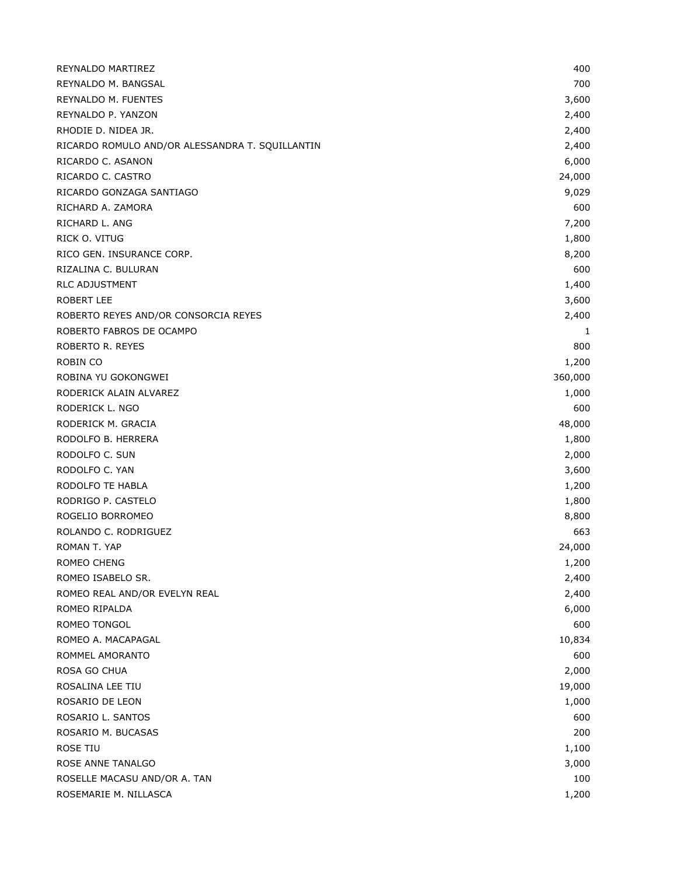| REYNALDO MARTIREZ                               | 400     |
|-------------------------------------------------|---------|
| REYNALDO M. BANGSAL                             | 700     |
| REYNALDO M. FUENTES                             | 3,600   |
| REYNALDO P. YANZON                              | 2,400   |
| RHODIE D. NIDEA JR.                             | 2,400   |
| RICARDO ROMULO AND/OR ALESSANDRA T. SQUILLANTIN | 2,400   |
| RICARDO C. ASANON                               | 6,000   |
| RICARDO C. CASTRO                               | 24,000  |
| RICARDO GONZAGA SANTIAGO                        | 9,029   |
| RICHARD A. ZAMORA                               | 600     |
| RICHARD L. ANG                                  | 7,200   |
| RICK O. VITUG                                   | 1,800   |
| RICO GEN. INSURANCE CORP.                       | 8,200   |
| RIZALINA C. BULURAN                             | 600     |
| <b>RLC ADJUSTMENT</b>                           | 1,400   |
| <b>ROBERT LEE</b>                               | 3,600   |
| ROBERTO REYES AND/OR CONSORCIA REYES            | 2,400   |
| ROBERTO FABROS DE OCAMPO                        | 1       |
| ROBERTO R. REYES                                | 800     |
| ROBIN CO                                        | 1,200   |
| ROBINA YU GOKONGWEI                             | 360,000 |
| RODERICK ALAIN ALVAREZ                          | 1,000   |
| RODERICK L. NGO                                 | 600     |
| RODERICK M. GRACIA                              | 48,000  |
| RODOLFO B. HERRERA                              | 1,800   |
| RODOLFO C. SUN                                  | 2,000   |
| RODOLFO C. YAN                                  | 3,600   |
| RODOLFO TE HABLA                                | 1,200   |
| RODRIGO P. CASTELO                              | 1,800   |
| ROGELIO BORROMEO                                | 8,800   |
| ROLANDO C. RODRIGUEZ                            | 663     |
| ROMAN T. YAP                                    | 24,000  |
| ROMEO CHENG                                     | 1,200   |
| ROMEO ISABELO SR.                               | 2,400   |
| ROMEO REAL AND/OR EVELYN REAL                   | 2,400   |
| ROMEO RIPALDA                                   | 6,000   |
| ROMEO TONGOL                                    | 600     |
| ROMEO A. MACAPAGAL                              | 10,834  |
| ROMMEL AMORANTO                                 | 600     |
| ROSA GO CHUA                                    | 2,000   |
| ROSALINA LEE TIU                                | 19,000  |
| ROSARIO DE LEON                                 | 1,000   |
| ROSARIO L. SANTOS                               | 600     |
| ROSARIO M. BUCASAS                              | 200     |
| ROSE TIU                                        | 1,100   |
| ROSE ANNE TANALGO                               | 3,000   |
| ROSELLE MACASU AND/OR A. TAN                    | 100     |
| ROSEMARIE M. NILLASCA                           | 1,200   |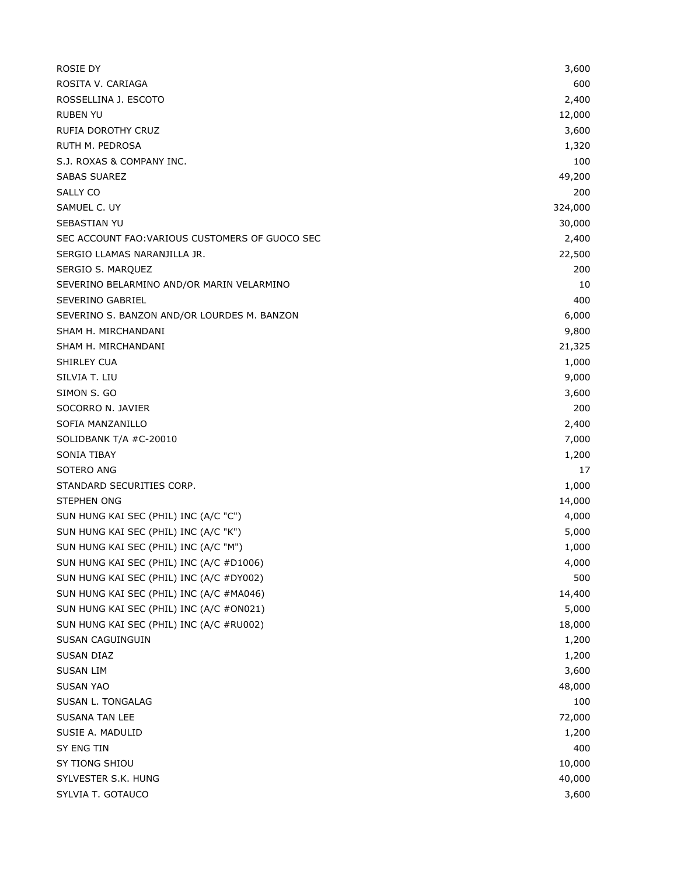| ROSIE DY                                        | 3,600   |
|-------------------------------------------------|---------|
| ROSITA V. CARIAGA                               | 600     |
| ROSSELLINA J. ESCOTO                            | 2,400   |
| <b>RUBEN YU</b>                                 | 12,000  |
| RUFIA DOROTHY CRUZ                              | 3,600   |
| RUTH M. PEDROSA                                 | 1,320   |
| S.J. ROXAS & COMPANY INC.                       | 100     |
| <b>SABAS SUAREZ</b>                             | 49,200  |
| SALLY CO                                        | 200     |
| SAMUEL C. UY                                    | 324,000 |
| <b>SEBASTIAN YU</b>                             | 30,000  |
| SEC ACCOUNT FAO: VARIOUS CUSTOMERS OF GUOCO SEC | 2,400   |
| SERGIO LLAMAS NARANJILLA JR.                    | 22,500  |
| SERGIO S. MARQUEZ                               | 200     |
| SEVERINO BELARMINO AND/OR MARIN VELARMINO       | 10      |
| SEVERINO GABRIEL                                | 400     |
| SEVERINO S. BANZON AND/OR LOURDES M. BANZON     | 6,000   |
| SHAM H. MIRCHANDANI                             | 9,800   |
| SHAM H. MIRCHANDANI                             | 21,325  |
| SHIRLEY CUA                                     | 1,000   |
| SILVIA T. LIU                                   | 9,000   |
| SIMON S. GO                                     | 3,600   |
| SOCORRO N. JAVIER                               | 200     |
| SOFIA MANZANILLO                                | 2,400   |
| SOLIDBANK T/A #C-20010                          | 7,000   |
| <b>SONIA TIBAY</b>                              | 1,200   |
| SOTERO ANG                                      | 17      |
| STANDARD SECURITIES CORP.                       | 1,000   |
| <b>STEPHEN ONG</b>                              | 14,000  |
| SUN HUNG KAI SEC (PHIL) INC (A/C "C")           | 4,000   |
| SUN HUNG KAI SEC (PHIL) INC (A/C "K")           | 5,000   |
| SUN HUNG KAI SEC (PHIL) INC (A/C "M")           | 1,000   |
| SUN HUNG KAI SEC (PHIL) INC (A/C #D1006)        | 4,000   |
| SUN HUNG KAI SEC (PHIL) INC (A/C #DY002)        | 500     |
| SUN HUNG KAI SEC (PHIL) INC (A/C #MA046)        | 14,400  |
| SUN HUNG KAI SEC (PHIL) INC (A/C #ON021)        | 5,000   |
| SUN HUNG KAI SEC (PHIL) INC (A/C #RU002)        | 18,000  |
| SUSAN CAGUINGUIN                                | 1,200   |
| SUSAN DIAZ                                      | 1,200   |
| <b>SUSAN LIM</b>                                | 3,600   |
| <b>SUSAN YAO</b>                                | 48,000  |
| SUSAN L. TONGALAG                               | 100     |
| <b>SUSANA TAN LEE</b>                           | 72,000  |
| SUSIE A. MADULID                                | 1,200   |
| SY ENG TIN                                      | 400     |
| SY TIONG SHIOU                                  | 10,000  |
| SYLVESTER S.K. HUNG                             | 40,000  |
| SYLVIA T. GOTAUCO                               | 3,600   |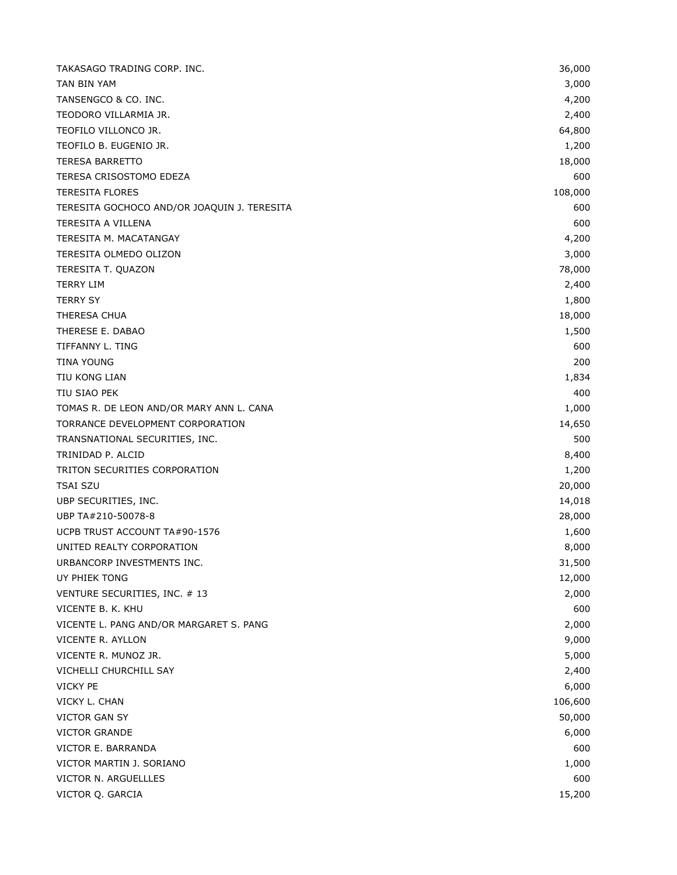| TAKASAGO TRADING CORP. INC.                 | 36,000  |
|---------------------------------------------|---------|
| TAN BIN YAM                                 | 3,000   |
| TANSENGCO & CO. INC.                        | 4,200   |
| TEODORO VILLARMIA JR.                       | 2,400   |
| TEOFILO VILLONCO JR.                        | 64,800  |
| TEOFILO B. EUGENIO JR.                      | 1,200   |
| <b>TERESA BARRETTO</b>                      | 18,000  |
| TERESA CRISOSTOMO EDEZA                     | 600     |
| <b>TERESITA FLORES</b>                      | 108,000 |
| TERESITA GOCHOCO AND/OR JOAQUIN J. TERESITA | 600     |
| <b>TERESITA A VILLENA</b>                   | 600     |
| TERESITA M. MACATANGAY                      | 4,200   |
| TERESITA OLMEDO OLIZON                      | 3,000   |
| TERESITA T. QUAZON                          | 78,000  |
| <b>TERRY LIM</b>                            | 2,400   |
| <b>TERRY SY</b>                             | 1,800   |
| THERESA CHUA                                | 18,000  |
| THERESE E. DABAO                            | 1,500   |
| TIFFANNY L. TING                            | 600     |
| <b>TINA YOUNG</b>                           | 200     |
| TIU KONG LIAN                               | 1,834   |
| TIU SIAO PEK                                | 400     |
| TOMAS R. DE LEON AND/OR MARY ANN L. CANA    | 1,000   |
| TORRANCE DEVELOPMENT CORPORATION            | 14,650  |
| TRANSNATIONAL SECURITIES, INC.              | 500     |
| TRINIDAD P. ALCID                           | 8,400   |
| TRITON SECURITIES CORPORATION               | 1,200   |
| <b>TSAI SZU</b>                             | 20,000  |
| UBP SECURITIES, INC.                        | 14,018  |
| UBP TA#210-50078-8                          | 28,000  |
| UCPB TRUST ACCOUNT TA#90-1576               | 1,600   |
| UNITED REALTY CORPORATION                   | 8,000   |
| URBANCORP INVESTMENTS INC.                  | 31,500  |
| UY PHIEK TONG                               | 12,000  |
| VENTURE SECURITIES, INC. #13                | 2,000   |
| VICENTE B. K. KHU                           | 600     |
| VICENTE L. PANG AND/OR MARGARET S. PANG     | 2,000   |
| VICENTE R. AYLLON                           | 9,000   |
| VICENTE R. MUNOZ JR.                        | 5,000   |
| VICHELLI CHURCHILL SAY                      | 2,400   |
| <b>VICKY PE</b>                             | 6,000   |
| VICKY L. CHAN                               | 106,600 |
| VICTOR GAN SY                               | 50,000  |
| <b>VICTOR GRANDE</b>                        | 6,000   |
| VICTOR E. BARRANDA                          | 600     |
| VICTOR MARTIN J. SORIANO                    | 1,000   |
| VICTOR N. ARGUELLLES                        | 600     |
| VICTOR Q. GARCIA                            | 15,200  |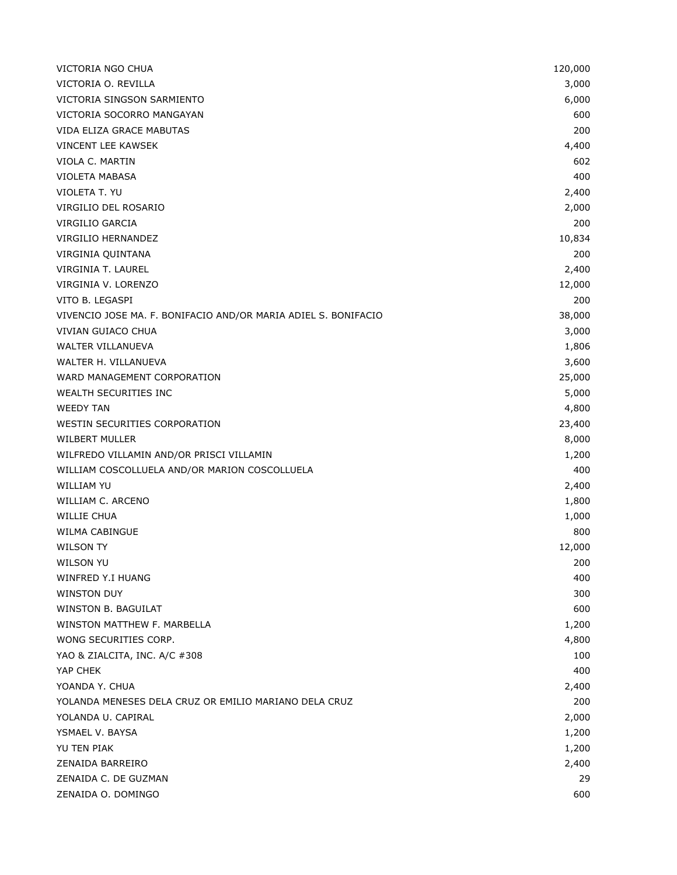| VICTORIA NGO CHUA                                              | 120,000 |
|----------------------------------------------------------------|---------|
| VICTORIA O. REVILLA                                            | 3,000   |
| VICTORIA SINGSON SARMIENTO                                     | 6,000   |
| VICTORIA SOCORRO MANGAYAN                                      | 600     |
| VIDA ELIZA GRACE MABUTAS                                       | 200     |
| VINCENT LEE KAWSEK                                             | 4,400   |
| VIOLA C. MARTIN                                                | 602     |
| <b>VIOLETA MABASA</b>                                          | 400     |
| VIOLETA T. YU                                                  | 2,400   |
| VIRGILIO DEL ROSARIO                                           | 2,000   |
| VIRGILIO GARCIA                                                | 200     |
| VIRGILIO HERNANDEZ                                             | 10,834  |
| VIRGINIA QUINTANA                                              | 200     |
| VIRGINIA T. LAUREL                                             | 2,400   |
| VIRGINIA V. LORENZO                                            | 12,000  |
| VITO B. LEGASPI                                                | 200     |
| VIVENCIO JOSE MA. F. BONIFACIO AND/OR MARIA ADIEL S. BONIFACIO | 38,000  |
| <b>VIVIAN GUIACO CHUA</b>                                      | 3,000   |
| <b>WALTER VILLANUEVA</b>                                       | 1,806   |
| WALTER H. VILLANUEVA                                           | 3,600   |
| WARD MANAGEMENT CORPORATION                                    | 25,000  |
| WEALTH SECURITIES INC                                          | 5,000   |
| <b>WEEDY TAN</b>                                               | 4,800   |
| WESTIN SECURITIES CORPORATION                                  | 23,400  |
| <b>WILBERT MULLER</b>                                          | 8,000   |
| WILFREDO VILLAMIN AND/OR PRISCI VILLAMIN                       | 1,200   |
| WILLIAM COSCOLLUELA AND/OR MARION COSCOLLUELA                  | 400     |
| <b>WILLIAM YU</b>                                              | 2,400   |
| WILLIAM C. ARCENO                                              | 1,800   |
| WILLIE CHUA                                                    | 1,000   |
| <b>WILMA CABINGUE</b>                                          | 800     |
| <b>WILSON TY</b>                                               | 12,000  |
| WILSON YU                                                      | 200     |
| WINFRED Y.I HUANG                                              | 400     |
| <b>WINSTON DUY</b>                                             | 300     |
| WINSTON B. BAGUILAT                                            | 600     |
| WINSTON MATTHEW F. MARBELLA                                    | 1,200   |
| WONG SECURITIES CORP.                                          | 4,800   |
| YAO & ZIALCITA, INC. A/C #308                                  | 100     |
| YAP CHEK                                                       | 400     |
| YOANDA Y. CHUA                                                 | 2,400   |
| YOLANDA MENESES DELA CRUZ OR EMILIO MARIANO DELA CRUZ          | 200     |
| YOLANDA U. CAPIRAL                                             | 2,000   |
| YSMAEL V. BAYSA                                                | 1,200   |
| YU TEN PIAK                                                    | 1,200   |
| ZENAIDA BARREIRO                                               | 2,400   |
| ZENAIDA C. DE GUZMAN                                           | 29      |
| ZENAIDA O. DOMINGO                                             | 600     |